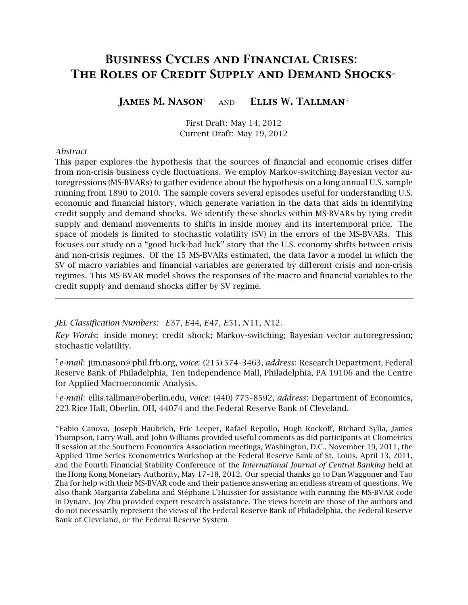# <span id="page-0-0"></span>Business Cycles and Financial Crises: The Roles of Credit Supply and Demand Shocks<sup>∗</sup>

James M. Nason† and Ellis W. Tallman‡

First Draft: May 14, 2012 Current Draft: May 19, 2012

*Abstract*

This paper explores the hypothesis that the sources of financial and economic crises differ from non-crisis business cycle fluctuations. We employ Markov-switching Bayesian vector autoregressions (MS-BVARs) to gather evidence about the hypothesis on a long annual U.S. sample running from 1890 to 2010. The sample covers several episodes useful for understanding U.S. economic and financial history, which generate variation in the data that aids in identifying credit supply and demand shocks. We identify these shocks within MS-BVARs by tying credit supply and demand movements to shifts in inside money and its intertemporal price. The space of models is limited to stochastic volatility (SV) in the errors of the MS-BVARs. This focuses our study on a "good luck-bad luck" story that the U.S. economy shifts between crisis and non-crisis regimes. Of the 15 MS-BVARs estimated, the data favor a model in which the SV of macro variables and financial variables are generated by different crisis and non-crisis regimes. This MS-BVAR model shows the responses of the macro and financial variables to the credit supply and demand shocks differ by SV regime.

*JEL Classification Numbers*: *E*37, *E*44, *E*47, *E*51, *N*11, *N*12.

*Key Words*: inside money; credit shock; Markov-switching; Bayesian vector autoregression; stochastic volatility.

†*e-mail*: jim.nason@phil.frb.org, *voice*: (215) 574–3463, *address*: Research Department, Federal Reserve Bank of Philadelphia, Ten Independence Mall, Philadelphia, PA 19106 and the Centre for Applied Macroeconomic Analysis.

‡*e-mail*: ellis.tallman@oberlin.edu, *voice*: (440) 775–8592, *address*: Department of Economics, 223 Rice Hall, Oberlin, OH, 44074 and the Federal Reserve Bank of Cleveland.

<sup>∗</sup>Fabio Canova, Joseph Haubrich, Eric Leeper, Rafael Repullo, Hugh Rockoff, Richard Sylla, James Thompson, Larry Wall, and John Williams provided useful comments as did participants at Cliometrics II session at the Southern Economics Association meetings, Washington, D.C., November 19, 2011, the Applied Time Series Econometrics Workshop at the Federal Reserve Bank of St. Louis, April 13, 2011, and the Fourth Financial Stability Conference of the *International Journal of Central Banking* held at the Hong Kong Monetary Authority, May 17–18, 2012. Our special thanks go to Dan Waggoner and Tao Zha for help with their MS-BVAR code and their patience answering an endless stream of questions. We also thank Margarita Zabelina and Stéphane L'Huissier for assistance with running the MS-BVAR code in Dynare. Joy Zhu provided expert research assistance. The views herein are those of the authors and do not necessarily represent the views of the Federal Reserve Bank of Philadelphia, the Federal Reserve Bank of Cleveland, or the Federal Reserve System.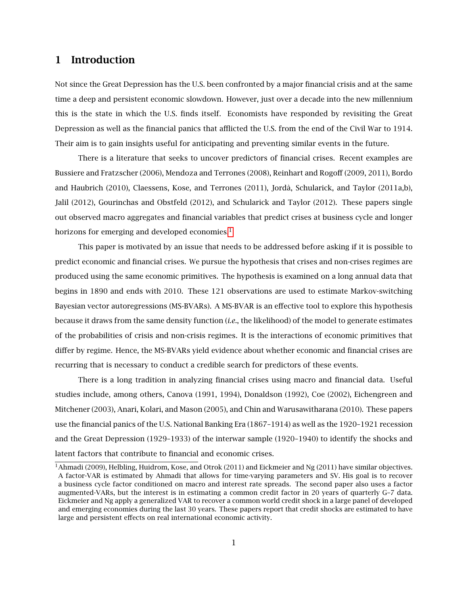## 1 Introduction

Not since the Great Depression has the U.S. been confronted by a major financial crisis and at the same time a deep and persistent economic slowdown. However, just over a decade into the new millennium this is the state in which the U.S. finds itself. Economists have responded by revisiting the Great Depression as well as the financial panics that afflicted the U.S. from the end of the Civil War to 1914. Their aim is to gain insights useful for anticipating and preventing similar events in the future.

There is a literature that seeks to uncover predictors of financial crises. Recent examples are Bussiere and Fratzscher (2006), Mendoza and Terrones (2008), Reinhart and Rogoff (2009, 2011), Bordo and Haubrich (2010), Claessens, Kose, and Terrones (2011), Jordà, Schularick, and Taylor (2011a,b), Jalil (2012), Gourinchas and Obstfeld (2012), and Schularick and Taylor (2012). These papers single out observed macro aggregates and financial variables that predict crises at business cycle and longer horizons for emerging and developed economies.<sup>[1](#page-0-0)</sup>

This paper is motivated by an issue that needs to be addressed before asking if it is possible to predict economic and financial crises. We pursue the hypothesis that crises and non-crises regimes are produced using the same economic primitives. The hypothesis is examined on a long annual data that begins in 1890 and ends with 2010. These 121 observations are used to estimate Markov-switching Bayesian vector autoregressions (MS-BVARs). A MS-BVAR is an effective tool to explore this hypothesis because it draws from the same density function (*i.e.*, the likelihood) of the model to generate estimates of the probabilities of crisis and non-crisis regimes. It is the interactions of economic primitives that differ by regime. Hence, the MS-BVARs yield evidence about whether economic and financial crises are recurring that is necessary to conduct a credible search for predictors of these events.

There is a long tradition in analyzing financial crises using macro and financial data. Useful studies include, among others, Canova (1991, 1994), Donaldson (1992), Coe (2002), Eichengreen and Mitchener (2003), Anari, Kolari, and Mason (2005), and Chin and Warusawitharana (2010). These papers use the financial panics of the U.S. National Banking Era (1867–1914) as well as the 1920–1921 recession and the Great Depression (1929–1933) of the interwar sample (1920–1940) to identify the shocks and latent factors that contribute to financial and economic crises.

<sup>&</sup>lt;sup>1</sup>Ahmadi (2009), Helbling, Huidrom, Kose, and Otrok (2011) and Eickmeier and Ng (2011) have similar objectives. A factor-VAR is estimated by Ahmadi that allows for time-varying parameters and SV. His goal is to recover a business cycle factor conditioned on macro and interest rate spreads. The second paper also uses a factor augmented-VARs, but the interest is in estimating a common credit factor in 20 years of quarterly G–7 data. Eickmeier and Ng apply a generalized VAR to recover a common world credit shock in a large panel of developed and emerging economies during the last 30 years. These papers report that credit shocks are estimated to have large and persistent effects on real international economic activity.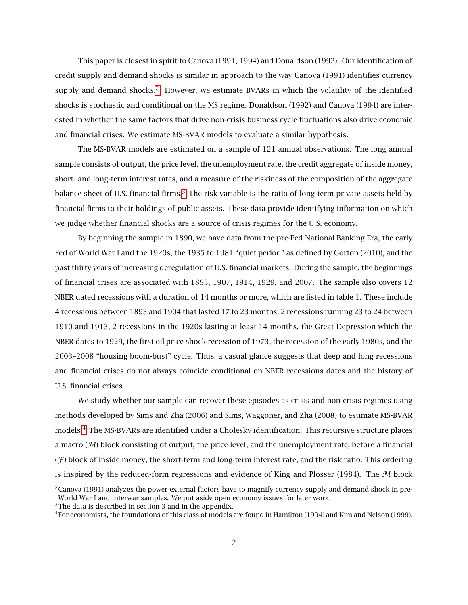This paper is closest in spirit to Canova (1991, 1994) and Donaldson (1992). Our identification of credit supply and demand shocks is similar in approach to the way Canova (1991) identifies currency supply and demand shocks.<sup>[2](#page-0-0)</sup> However, we estimate BVARs in which the volatility of the identified shocks is stochastic and conditional on the MS regime. Donaldson (1992) and Canova (1994) are interested in whether the same factors that drive non-crisis business cycle fluctuations also drive economic and financial crises. We estimate MS-BVAR models to evaluate a similar hypothesis.

The MS-BVAR models are estimated on a sample of 121 annual observations. The long annual sample consists of output, the price level, the unemployment rate, the credit aggregate of inside money, short- and long-term interest rates, and a measure of the riskiness of the composition of the aggregate balance sheet of U.S. financial firms. $3$  The risk variable is the ratio of long-term private assets held by financial firms to their holdings of public assets. These data provide identifying information on which we judge whether financial shocks are a source of crisis regimes for the U.S. economy.

By beginning the sample in 1890, we have data from the pre-Fed National Banking Era, the early Fed of World War I and the 1920s, the 1935 to 1981 "quiet period" as defined by Gorton (2010), and the past thirty years of increasing deregulation of U.S. financial markets. During the sample, the beginnings of financial crises are associated with 1893, 1907, 1914, 1929, and 2007. The sample also covers 12 NBER dated recessions with a duration of 14 months or more, which are listed in table 1. These include 4 recessions between 1893 and 1904 that lasted 17 to 23 months, 2 recessions running 23 to 24 between 1910 and 1913, 2 recessions in the 1920s lasting at least 14 months, the Great Depression which the NBER dates to 1929, the first oil price shock recession of 1973, the recession of the early 1980s, and the 2003–2008 "housing boom-bust" cycle. Thus, a casual glance suggests that deep and long recessions and financial crises do not always coincide conditional on NBER recessions dates and the history of U.S. financial crises.

We study whether our sample can recover these episodes as crisis and non-crisis regimes using methods developed by Sims and Zha (2006) and Sims, Waggoner, and Zha (2008) to estimate MS-BVAR models.[4](#page-0-0) The MS-BVARs are identified under a Cholesky identification. This recursive structure places a macro  $(M)$  block consisting of output, the price level, and the unemployment rate, before a financial  $(F)$  block of inside money, the short-term and long-term interest rate, and the risk ratio. This ordering is inspired by the reduced-form regressions and evidence of King and Plosser (1984). The  $M$  block

 $2$ Canova (1991) analyzes the power external factors have to magnify currency supply and demand shock in pre-World War I and interwar samples. We put aside open economy issues for later work.

 $3$ The data is described in section 3 and in the appendix.

 $4$ For economists, the foundations of this class of models are found in Hamilton (1994) and Kim and Nelson (1999).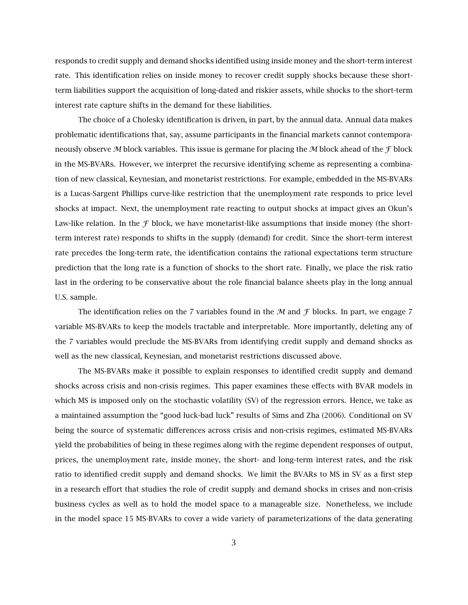responds to credit supply and demand shocks identified using inside money and the short-term interest rate. This identification relies on inside money to recover credit supply shocks because these shortterm liabilities support the acquisition of long-dated and riskier assets, while shocks to the short-term interest rate capture shifts in the demand for these liabilities.

The choice of a Cholesky identification is driven, in part, by the annual data. Annual data makes problematic identifications that, say, assume participants in the financial markets cannot contemporaneously observe M block variables. This issue is germane for placing the M block ahead of the  $\mathcal F$  block in the MS-BVARs. However, we interpret the recursive identifying scheme as representing a combination of new classical, Keynesian, and monetarist restrictions. For example, embedded in the MS-BVARs is a Lucas-Sargent Phillips curve-like restriction that the unemployment rate responds to price level shocks at impact. Next, the unemployment rate reacting to output shocks at impact gives an Okun's Law-like relation. In the  $\mathcal F$  block, we have monetarist-like assumptions that inside money (the shortterm interest rate) responds to shifts in the supply (demand) for credit. Since the short-term interest rate precedes the long-term rate, the identification contains the rational expectations term structure prediction that the long rate is a function of shocks to the short rate. Finally, we place the risk ratio last in the ordering to be conservative about the role financial balance sheets play in the long annual U.S. sample.

The identification relies on the 7 variables found in the  $M$  and  $\mathcal F$  blocks. In part, we engage 7 variable MS-BVARs to keep the models tractable and interpretable. More importantly, deleting any of the 7 variables would preclude the MS-BVARs from identifying credit supply and demand shocks as well as the new classical, Keynesian, and monetarist restrictions discussed above.

The MS-BVARs make it possible to explain responses to identified credit supply and demand shocks across crisis and non-crisis regimes. This paper examines these effects with BVAR models in which MS is imposed only on the stochastic volatility (SV) of the regression errors. Hence, we take as a maintained assumption the "good luck-bad luck" results of Sims and Zha (2006). Conditional on SV being the source of systematic differences across crisis and non-crisis regimes, estimated MS-BVARs yield the probabilities of being in these regimes along with the regime dependent responses of output, prices, the unemployment rate, inside money, the short- and long-term interest rates, and the risk ratio to identified credit supply and demand shocks. We limit the BVARs to MS in SV as a first step in a research effort that studies the role of credit supply and demand shocks in crises and non-crisis business cycles as well as to hold the model space to a manageable size. Nonetheless, we include in the model space 15 MS-BVARs to cover a wide variety of parameterizations of the data generating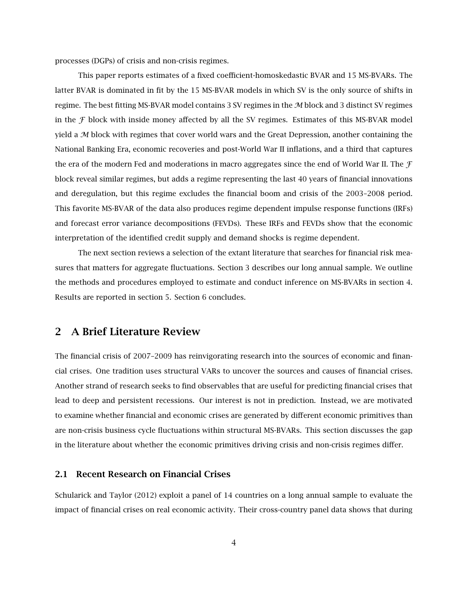processes (DGPs) of crisis and non-crisis regimes.

This paper reports estimates of a fixed coefficient-homoskedastic BVAR and 15 MS-BVARs. The latter BVAR is dominated in fit by the 15 MS-BVAR models in which SV is the only source of shifts in regime. The best fitting MS-BVAR model contains 3 SV regimes in the M block and 3 distinct SV regimes in the  $F$  block with inside money affected by all the SV regimes. Estimates of this MS-BVAR model yield a  $M$  block with regimes that cover world wars and the Great Depression, another containing the National Banking Era, economic recoveries and post-World War II inflations, and a third that captures the era of the modern Fed and moderations in macro aggregates since the end of World War II. The  $\mathcal F$ block reveal similar regimes, but adds a regime representing the last 40 years of financial innovations and deregulation, but this regime excludes the financial boom and crisis of the 2003–2008 period. This favorite MS-BVAR of the data also produces regime dependent impulse response functions (IRFs) and forecast error variance decompositions (FEVDs). These IRFs and FEVDs show that the economic interpretation of the identified credit supply and demand shocks is regime dependent.

The next section reviews a selection of the extant literature that searches for financial risk measures that matters for aggregate fluctuations. Section 3 describes our long annual sample. We outline the methods and procedures employed to estimate and conduct inference on MS-BVARs in section 4. Results are reported in section 5. Section 6 concludes.

## 2 A Brief Literature Review

The financial crisis of 2007–2009 has reinvigorating research into the sources of economic and financial crises. One tradition uses structural VARs to uncover the sources and causes of financial crises. Another strand of research seeks to find observables that are useful for predicting financial crises that lead to deep and persistent recessions. Our interest is not in prediction. Instead, we are motivated to examine whether financial and economic crises are generated by different economic primitives than are non-crisis business cycle fluctuations within structural MS-BVARs. This section discusses the gap in the literature about whether the economic primitives driving crisis and non-crisis regimes differ.

### 2.1 Recent Research on Financial Crises

Schularick and Taylor (2012) exploit a panel of 14 countries on a long annual sample to evaluate the impact of financial crises on real economic activity. Their cross-country panel data shows that during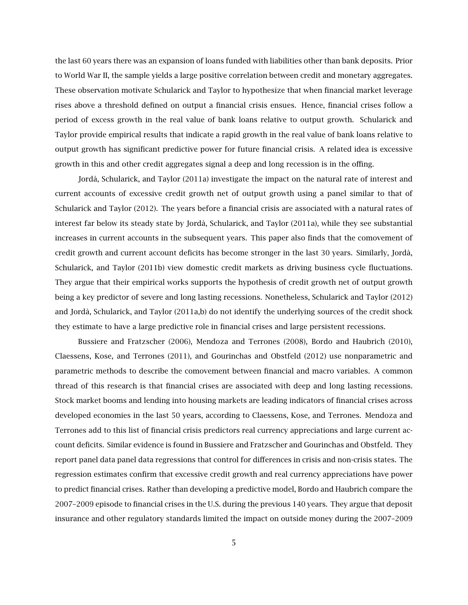the last 60 years there was an expansion of loans funded with liabilities other than bank deposits. Prior to World War II, the sample yields a large positive correlation between credit and monetary aggregates. These observation motivate Schularick and Taylor to hypothesize that when financial market leverage rises above a threshold defined on output a financial crisis ensues. Hence, financial crises follow a period of excess growth in the real value of bank loans relative to output growth. Schularick and Taylor provide empirical results that indicate a rapid growth in the real value of bank loans relative to output growth has significant predictive power for future financial crisis. A related idea is excessive growth in this and other credit aggregates signal a deep and long recession is in the offing.

Jordà, Schularick, and Taylor (2011a) investigate the impact on the natural rate of interest and current accounts of excessive credit growth net of output growth using a panel similar to that of Schularick and Taylor (2012). The years before a financial crisis are associated with a natural rates of interest far below its steady state by Jordà, Schularick, and Taylor (2011a), while they see substantial increases in current accounts in the subsequent years. This paper also finds that the comovement of credit growth and current account deficits has become stronger in the last 30 years. Similarly, Jordà, Schularick, and Taylor (2011b) view domestic credit markets as driving business cycle fluctuations. They argue that their empirical works supports the hypothesis of credit growth net of output growth being a key predictor of severe and long lasting recessions. Nonetheless, Schularick and Taylor (2012) and Jordà, Schularick, and Taylor (2011a,b) do not identify the underlying sources of the credit shock they estimate to have a large predictive role in financial crises and large persistent recessions.

Bussiere and Fratzscher (2006), Mendoza and Terrones (2008), Bordo and Haubrich (2010), Claessens, Kose, and Terrones (2011), and Gourinchas and Obstfeld (2012) use nonparametric and parametric methods to describe the comovement between financial and macro variables. A common thread of this research is that financial crises are associated with deep and long lasting recessions. Stock market booms and lending into housing markets are leading indicators of financial crises across developed economies in the last 50 years, according to Claessens, Kose, and Terrones. Mendoza and Terrones add to this list of financial crisis predictors real currency appreciations and large current account deficits. Similar evidence is found in Bussiere and Fratzscher and Gourinchas and Obstfeld. They report panel data panel data regressions that control for differences in crisis and non-crisis states. The regression estimates confirm that excessive credit growth and real currency appreciations have power to predict financial crises. Rather than developing a predictive model, Bordo and Haubrich compare the 2007–2009 episode to financial crises in the U.S. during the previous 140 years. They argue that deposit insurance and other regulatory standards limited the impact on outside money during the 2007–2009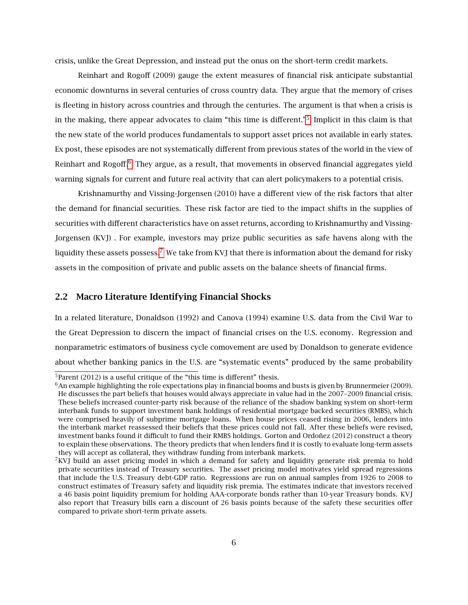crisis, unlike the Great Depression, and instead put the onus on the short-term credit markets.

Reinhart and Rogoff (2009) gauge the extent measures of financial risk anticipate substantial economic downturns in several centuries of cross country data. They argue that the memory of crises is fleeting in history across countries and through the centuries. The argument is that when a crisis is in the making, there appear advocates to claim "this time is different."[5](#page-0-0) Implicit in this claim is that the new state of the world produces fundamentals to support asset prices not available in early states. Ex post, these episodes are not systematically different from previous states of the world in the view of Reinhart and Rogoff.<sup>[6](#page-0-0)</sup> They argue, as a result, that movements in observed financial aggregates yield warning signals for current and future real activity that can alert policymakers to a potential crisis.

Krishnamurthy and Vissing-Jorgensen (2010) have a different view of the risk factors that alter the demand for financial securities. These risk factor are tied to the impact shifts in the supplies of securities with different characteristics have on asset returns, according to Krishnamurthy and Vissing-Jorgensen (KVJ) . For example, investors may prize public securities as safe havens along with the liquidity these assets possess.<sup>[7](#page-0-0)</sup> We take from KVJ that there is information about the demand for risky assets in the composition of private and public assets on the balance sheets of financial firms.

#### 2.2 Macro Literature Identifying Financial Shocks

In a related literature, Donaldson (1992) and Canova (1994) examine U.S. data from the Civil War to the Great Depression to discern the impact of financial crises on the U.S. economy. Regression and nonparametric estimators of business cycle comovement are used by Donaldson to generate evidence about whether banking panics in the U.S. are "systematic events" produced by the same probability

 $5$ Parent (2012) is a useful critique of the "this time is different" thesis.

 $6$ An example highlighting the role expectations play in financial booms and busts is given by Brunnermeier (2009). He discusses the part beliefs that houses would always appreciate in value had in the 2007–2009 financial crisis. These beliefs increased counter-party risk because of the reliance of the shadow banking system on short-term interbank funds to support investment bank holdings of residential mortgage backed securities (RMBS), which were comprised heavily of subprime mortgage loans. When house prices ceased rising in 2006, lenders into the interbank market reassessed their beliefs that these prices could not fall. After these beliefs were revised, investment banks found it difficult to fund their RMBS holdings. Gorton and Ordoñez (2012) construct a theory to explain these observations. The theory predicts that when lenders find it is costly to evaluate long-term assets they will accept as collateral, they withdraw funding from interbank markets.

 $7$ KVJ build an asset pricing model in which a demand for safety and liquidity generate risk premia to hold private securities instead of Treasury securities. The asset pricing model motivates yield spread regressions that include the U.S. Treasury debt-GDP ratio. Regressions are run on annual samples from 1926 to 2008 to construct estimates of Treasury safety and liquidity risk premia. The estimates indicate that investors received a 46 basis point liquidity premium for holding AAA-corporate bonds rather than 10-year Treasury bonds. KVJ also report that Treasury bills earn a discount of 26 basis points because of the safety these securities offer compared to private short-term private assets.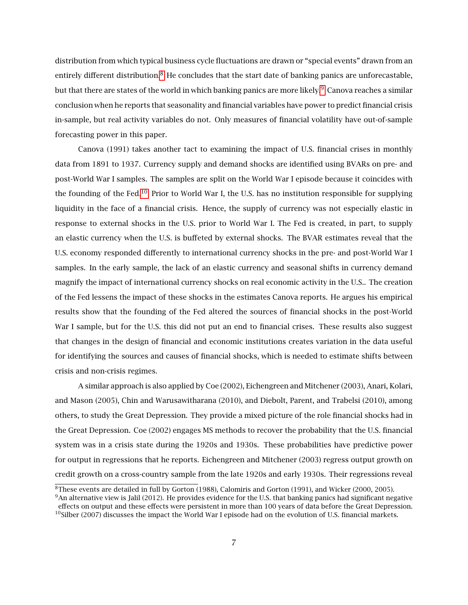distribution from which typical business cycle fluctuations are drawn or "special events" drawn from an entirely different distribution.<sup>[8](#page-0-0)</sup> He concludes that the start date of banking panics are unforecastable, but that there are states of the world in which banking panics are more likely.<sup>[9](#page-0-0)</sup> Canova reaches a similar conclusion when he reports that seasonality and financial variables have power to predict financial crisis in-sample, but real activity variables do not. Only measures of financial volatility have out-of-sample forecasting power in this paper.

Canova (1991) takes another tact to examining the impact of U.S. financial crises in monthly data from 1891 to 1937. Currency supply and demand shocks are identified using BVARs on pre- and post-World War I samples. The samples are split on the World War I episode because it coincides with the founding of the Fed.[10](#page-0-0) Prior to World War I, the U.S. has no institution responsible for supplying liquidity in the face of a financial crisis. Hence, the supply of currency was not especially elastic in response to external shocks in the U.S. prior to World War I. The Fed is created, in part, to supply an elastic currency when the U.S. is buffeted by external shocks. The BVAR estimates reveal that the U.S. economy responded differently to international currency shocks in the pre- and post-World War I samples. In the early sample, the lack of an elastic currency and seasonal shifts in currency demand magnify the impact of international currency shocks on real economic activity in the U.S.. The creation of the Fed lessens the impact of these shocks in the estimates Canova reports. He argues his empirical results show that the founding of the Fed altered the sources of financial shocks in the post-World War I sample, but for the U.S. this did not put an end to financial crises. These results also suggest that changes in the design of financial and economic institutions creates variation in the data useful for identifying the sources and causes of financial shocks, which is needed to estimate shifts between crisis and non-crisis regimes.

A similar approach is also applied by Coe (2002), Eichengreen and Mitchener (2003), Anari, Kolari, and Mason (2005), Chin and Warusawitharana (2010), and Diebolt, Parent, and Trabelsi (2010), among others, to study the Great Depression. They provide a mixed picture of the role financial shocks had in the Great Depression. Coe (2002) engages MS methods to recover the probability that the U.S. financial system was in a crisis state during the 1920s and 1930s. These probabilities have predictive power for output in regressions that he reports. Eichengreen and Mitchener (2003) regress output growth on credit growth on a cross-country sample from the late 1920s and early 1930s. Their regressions reveal

<sup>&</sup>lt;sup>8</sup>These events are detailed in full by Gorton (1988), Calomiris and Gorton (1991), and Wicker (2000, 2005).

 $9$ An alternative view is Jalil (2012). He provides evidence for the U.S. that banking panics had significant negative effects on output and these effects were persistent in more than 100 years of data before the Great Depression.  $10$ Silber (2007) discusses the impact the World War I episode had on the evolution of U.S. financial markets.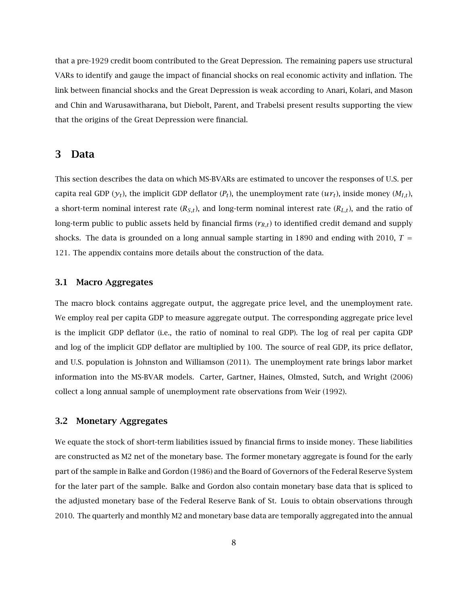that a pre-1929 credit boom contributed to the Great Depression. The remaining papers use structural VARs to identify and gauge the impact of financial shocks on real economic activity and inflation. The link between financial shocks and the Great Depression is weak according to Anari, Kolari, and Mason and Chin and Warusawitharana, but Diebolt, Parent, and Trabelsi present results supporting the view that the origins of the Great Depression were financial.

### 3 Data

This section describes the data on which MS-BVARs are estimated to uncover the responses of U.S. per capita real GDP ( $y_t$ ), the implicit GDP deflator ( $P_t$ ), the unemployment rate ( $u r_t$ ), inside money ( $M_{I,t}$ ), a short-term nominal interest rate  $(R_{S,t})$ , and long-term nominal interest rate  $(R_{L,t})$ , and the ratio of long-term public to public assets held by financial firms  $(r_{R,t})$  to identified credit demand and supply shocks. The data is grounded on a long annual sample starting in 1890 and ending with 2010,  $T =$ 121. The appendix contains more details about the construction of the data.

#### 3.1 Macro Aggregates

The macro block contains aggregate output, the aggregate price level, and the unemployment rate. We employ real per capita GDP to measure aggregate output. The corresponding aggregate price level is the implicit GDP deflator (i.e., the ratio of nominal to real GDP). The log of real per capita GDP and log of the implicit GDP deflator are multiplied by 100. The source of real GDP, its price deflator, and U.S. population is Johnston and Williamson (2011). The unemployment rate brings labor market information into the MS-BVAR models. Carter, Gartner, Haines, Olmsted, Sutch, and Wright (2006) collect a long annual sample of unemployment rate observations from Weir (1992).

#### 3.2 Monetary Aggregates

We equate the stock of short-term liabilities issued by financial firms to inside money. These liabilities are constructed as M2 net of the monetary base. The former monetary aggregate is found for the early part of the sample in Balke and Gordon (1986) and the Board of Governors of the Federal Reserve System for the later part of the sample. Balke and Gordon also contain monetary base data that is spliced to the adjusted monetary base of the Federal Reserve Bank of St. Louis to obtain observations through 2010. The quarterly and monthly M2 and monetary base data are temporally aggregated into the annual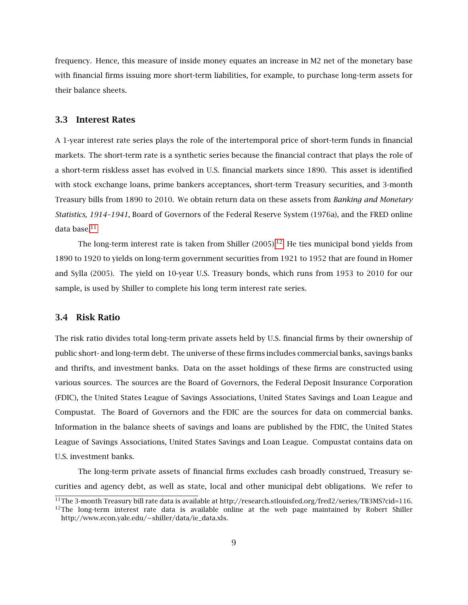frequency. Hence, this measure of inside money equates an increase in M2 net of the monetary base with financial firms issuing more short-term liabilities, for example, to purchase long-term assets for their balance sheets.

#### 3.3 Interest Rates

A 1-year interest rate series plays the role of the intertemporal price of short-term funds in financial markets. The short-term rate is a synthetic series because the financial contract that plays the role of a short-term riskless asset has evolved in U.S. financial markets since 1890. This asset is identified with stock exchange loans, prime bankers acceptances, short-term Treasury securities, and 3-month Treasury bills from 1890 to 2010. We obtain return data on these assets from *Banking and Monetary Statistics, 1914–1941*, Board of Governors of the Federal Reserve System (1976a), and the FRED online data base.<sup>[11](#page-0-0)</sup>

The long-term interest rate is taken from Shiller  $(2005).<sup>12</sup>$  $(2005).<sup>12</sup>$  $(2005).<sup>12</sup>$  He ties municipal bond yields from 1890 to 1920 to yields on long-term government securities from 1921 to 1952 that are found in Homer and Sylla (2005). The yield on 10-year U.S. Treasury bonds, which runs from 1953 to 2010 for our sample, is used by Shiller to complete his long term interest rate series.

#### 3.4 Risk Ratio

The risk ratio divides total long-term private assets held by U.S. financial firms by their ownership of public short- and long-term debt. The universe of these firms includes commercial banks, savings banks and thrifts, and investment banks. Data on the asset holdings of these firms are constructed using various sources. The sources are the Board of Governors, the Federal Deposit Insurance Corporation (FDIC), the United States League of Savings Associations, United States Savings and Loan League and Compustat. The Board of Governors and the FDIC are the sources for data on commercial banks. Information in the balance sheets of savings and loans are published by the FDIC, the United States League of Savings Associations, United States Savings and Loan League. Compustat contains data on U.S. investment banks.

The long-term private assets of financial firms excludes cash broadly construed, Treasury securities and agency debt, as well as state, local and other municipal debt obligations. We refer to

<sup>&</sup>lt;sup>11</sup>The 3-month Treasury bill rate data is available at http://research.stlouisfed.org/fred2/series/TB3MS?cid=116.  $12$ The long-term interest rate data is available online at the web page maintained by Robert Shiller http://www.econ.yale.edu/∼shiller/data/ie\_data.xls.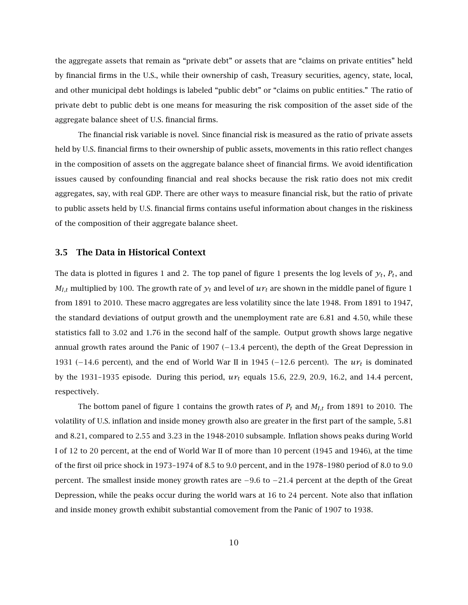the aggregate assets that remain as "private debt" or assets that are "claims on private entities" held by financial firms in the U.S., while their ownership of cash, Treasury securities, agency, state, local, and other municipal debt holdings is labeled "public debt" or "claims on public entities." The ratio of private debt to public debt is one means for measuring the risk composition of the asset side of the aggregate balance sheet of U.S. financial firms.

The financial risk variable is novel. Since financial risk is measured as the ratio of private assets held by U.S. financial firms to their ownership of public assets, movements in this ratio reflect changes in the composition of assets on the aggregate balance sheet of financial firms. We avoid identification issues caused by confounding financial and real shocks because the risk ratio does not mix credit aggregates, say, with real GDP. There are other ways to measure financial risk, but the ratio of private to public assets held by U.S. financial firms contains useful information about changes in the riskiness of the composition of their aggregate balance sheet.

#### 3.5 The Data in Historical Context

The data is plotted in figures 1 and 2. The top panel of figure 1 presents the log levels of  $y_t$ ,  $P_t$ , and  $M_{I,t}$  multiplied by 100. The growth rate of  $y_t$  and level of  $u_t$  are shown in the middle panel of figure 1 from 1891 to 2010. These macro aggregates are less volatility since the late 1948. From 1891 to 1947, the standard deviations of output growth and the unemployment rate are 6.81 and 4.50, while these statistics fall to 3.02 and 1.76 in the second half of the sample. Output growth shows large negative annual growth rates around the Panic of 1907 (−13*.*4 percent), the depth of the Great Depression in 1931 (−14*.*6 percent), and the end of World War II in 1945 (−12*.*6 percent). The *ur<sup>t</sup>* is dominated by the 1931–1935 episode. During this period,  $ur<sub>t</sub>$  equals 15.6, 22.9, 20.9, 16.2, and 14.4 percent, respectively.

The bottom panel of figure 1 contains the growth rates of *P<sup>t</sup>* and *MI,t* from 1891 to 2010. The volatility of U.S. inflation and inside money growth also are greater in the first part of the sample, 5.81 and 8.21, compared to 2.55 and 3.23 in the 1948-2010 subsample. Inflation shows peaks during World I of 12 to 20 percent, at the end of World War II of more than 10 percent (1945 and 1946), at the time of the first oil price shock in 1973–1974 of 8.5 to 9.0 percent, and in the 1978–1980 period of 8.0 to 9.0 percent. The smallest inside money growth rates are −9*.*6 to −21*.*4 percent at the depth of the Great Depression, while the peaks occur during the world wars at 16 to 24 percent. Note also that inflation and inside money growth exhibit substantial comovement from the Panic of 1907 to 1938.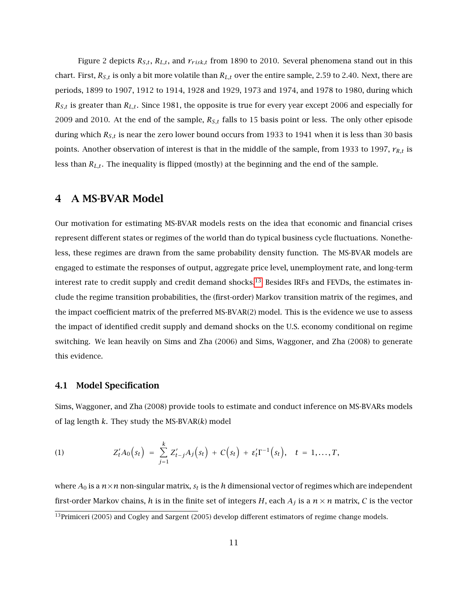Figure 2 depicts  $R_{S,t}$ ,  $R_{L,t}$ , and  $r_{risk,t}$  from 1890 to 2010. Several phenomena stand out in this chart. First,  $R_{S,t}$  is only a bit more volatile than  $R_{L,t}$  over the entire sample, 2.59 to 2.40. Next, there are periods, 1899 to 1907, 1912 to 1914, 1928 and 1929, 1973 and 1974, and 1978 to 1980, during which  $R_{S,t}$  is greater than  $R_{L,t}$ . Since 1981, the opposite is true for every year except 2006 and especially for 2009 and 2010. At the end of the sample, *RS,t* falls to 15 basis point or less. The only other episode during which *RS,t* is near the zero lower bound occurs from 1933 to 1941 when it is less than 30 basis points. Another observation of interest is that in the middle of the sample, from 1933 to 1997, *rR,t* is less than *RL,t* . The inequality is flipped (mostly) at the beginning and the end of the sample.

### 4 A MS-BVAR Model

Our motivation for estimating MS-BVAR models rests on the idea that economic and financial crises represent different states or regimes of the world than do typical business cycle fluctuations. Nonetheless, these regimes are drawn from the same probability density function. The MS-BVAR models are engaged to estimate the responses of output, aggregate price level, unemployment rate, and long-term interest rate to credit supply and credit demand shocks.<sup>[13](#page-0-0)</sup> Besides IRFs and FEVDs, the estimates include the regime transition probabilities, the (first-order) Markov transition matrix of the regimes, and the impact coefficient matrix of the preferred MS-BVAR(2) model. This is the evidence we use to assess the impact of identified credit supply and demand shocks on the U.S. economy conditional on regime switching. We lean heavily on Sims and Zha (2006) and Sims, Waggoner, and Zha (2008) to generate this evidence.

#### 4.1 Model Specification

Sims, Waggoner, and Zha (2008) provide tools to estimate and conduct inference on MS-BVARs models of lag length *k*. They study the MS-BVAR(*k*) model

<span id="page-11-0"></span>(1) 
$$
Z'_t A_0(s_t) = \sum_{j=1}^k Z'_{t-j} A_j(s_t) + C(s_t) + \varepsilon'_t \Gamma^{-1}(s_t), \quad t = 1, ..., T,
$$

where  $A_0$  is a  $n \times n$  non-singular matrix,  $s_t$  is the *h* dimensional vector of regimes which are independent first-order Markov chains, *h* is in the finite set of integers *H*, each  $A_j$  is a  $n \times n$  matrix, *C* is the vector

 $\overline{^{13}$ Primiceri (2005) and Cogley and Sargent (2005) develop different estimators of regime change models.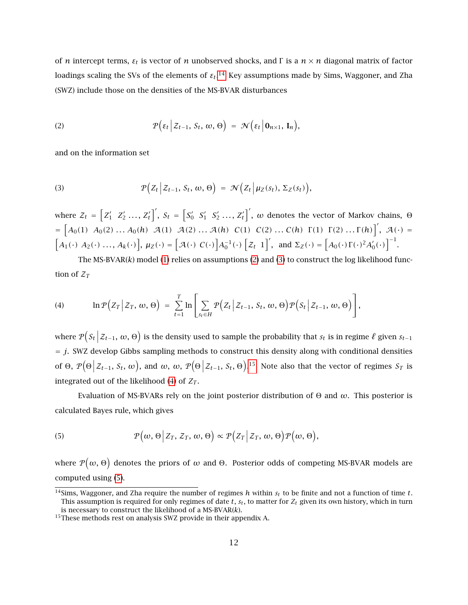of *<sup>n</sup>* intercept terms, *<sup>ε</sup><sup>t</sup>* is vector of *<sup>n</sup>* unobserved shocks, and <sup>Γ</sup> is a *<sup>n</sup>* <sup>×</sup> *<sup>n</sup>* diagonal matrix of factor loadings scaling the SVs of the elements of  $\varepsilon_t.^{14}$  $\varepsilon_t.^{14}$  $\varepsilon_t.^{14}$  Key assumptions made by Sims, Waggoner, and Zha (SWZ) include those on the densities of the MS-BVAR disturbances

<span id="page-12-0"></span>(2) 
$$
\mathcal{P}\big(\varepsilon_t \, \Big| \, \mathcal{Z}_{t-1}, \, \mathcal{S}_t, \, \omega, \, \Theta\big) \ = \ \mathcal{N}\big(\varepsilon_t \, \Big| \, \mathbf{0}_{n \times 1}, \, \mathbf{I}_n\big),
$$

and on the information set

<span id="page-12-1"></span>(3) 
$$
\mathcal{P}\big(Z_t \big| Z_{t-1}, S_t, \omega, \Theta\big) = \mathcal{N}\big(Z_t \big| \mu_Z(s_t), \Sigma_Z(s_t)\big),
$$

where  $\mathcal{Z}_t = \begin{bmatrix} Z'_1 & Z'_2 & \dots & Z'_t \end{bmatrix}'$ ,  $S_t = \begin{bmatrix} S'_0 & S'_1 & S'_2 & \dots & Z'_t \end{bmatrix}'$ ,  $\omega$  denotes the vector of Markov chains,  $\Theta$ =  $[A_0(1) A_0(2) ... A_0(h) A(1) A(2) ... A(h) C(1) C(2) ... C(h) \Gamma(1) \Gamma(2) ... \Gamma(h)]', A(\cdot)$  =  $[A_1(\cdot) A_2(\cdot) \dots, A_k(\cdot)], \mu_Z(\cdot) = [\mathcal{A}(\cdot) C(\cdot)] A_0^{-1}(\cdot) [\mathcal{Z}_t 1]', \text{ and } \Sigma_Z(\cdot) = [A_0(\cdot) \Gamma(\cdot)^2 A_0'(\cdot)]^{-1}.$ 

The MS-BVAR(*k*) model [\(1\)](#page-11-0) relies on assumptions [\(2\)](#page-12-0) and [\(3\)](#page-12-1) to construct the log likelihood function of  $\mathcal{Z}_T$ 

<span id="page-12-2"></span>(4) 
$$
\ln \mathcal{P}\Big(Z_T \Big| Z_T, \, \omega, \, \Theta\Big) \ = \ \sum_{t=1}^T \ln \Bigg[\sum_{s_t \in H} \mathcal{P}\Big(Z_t \Big| Z_{t-1}, \, S_t, \, \omega, \, \Theta\Big) \mathcal{P}\Big(S_t \Big| Z_{t-1}, \, \omega, \, \Theta\Big)\Bigg],
$$

where  $\mathcal{P}(S_t | Z_{t-1}, \omega, \Theta)$  is the density used to sample the probability that  $s_t$  is in regime  $\ell$  given  $s_{t-1}$  $= j$ . SWZ develop Gibbs sampling methods to construct this density along with conditional densities of Θ,  $P($ Θ  $\left( \mathcal{Z}_{t-1}, S_t, \omega \right)$ , and  $\omega, \omega, \mathcal{P}(\omega)$ Θ  $|Z_{t-1}, S_t, \Theta$ <sup>[15](#page-0-0)</sup> Note also that the vector of regimes  $S_T$  is integrated out of the likelihood  $(4)$  of  $Z_T$ .

Evaluation of MS-BVARs rely on the joint posterior distribution of <sup>Θ</sup> and *<sup>ω</sup>*. This posterior is calculated Bayes rule, which gives

<span id="page-12-3"></span>(5) 
$$
\mathcal{P}(\omega,\Theta|Z_T,Z_T,\omega,\Theta)\propto\mathcal{P}(Z_T|Z_T,\omega,\Theta)\mathcal{P}(\omega,\Theta),
$$

where  $\mathcal{P}(\omega, \Theta)$  denotes the priors of  $\omega$  and  $\Theta$ . Posterior odds of competing MS-BVAR models are computed using [\(5\)](#page-12-3).

<sup>14</sup>Sims, Waggoner, and Zha require the number of regimes *h* within *s<sup>t</sup>* to be finite and not a function of time *t*. This assumption is required for only regimes of date  $t$ ,  $s_t$ , to matter for  $Z_t$  given its own history, which in turn is necessary to construct the likelihood of a MS-BVAR(*k*).

<sup>&</sup>lt;sup>15</sup>These methods rest on analysis SWZ provide in their appendix A.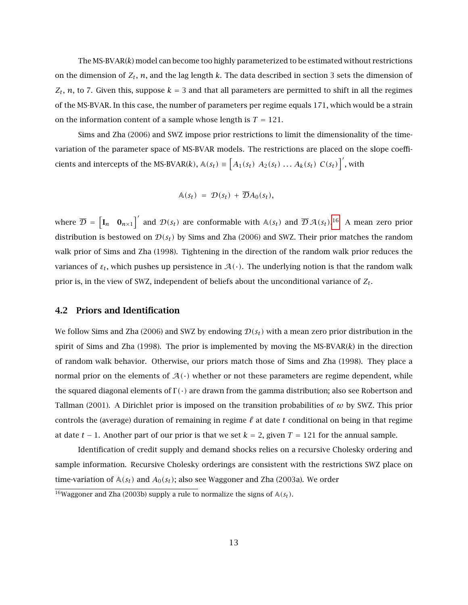The MS-BVAR(*k*) model can become too highly parameterized to be estimated without restrictions on the dimension of  $Z_t$ ,  $n$ , and the lag length  $k$ . The data described in section 3 sets the dimension of  $Z_t$ , *n*, to 7. Given this, suppose  $k = 3$  and that all parameters are permitted to shift in all the regimes of the MS-BVAR. In this case, the number of parameters per regime equals 171, which would be a strain on the information content of a sample whose length is  $T = 121$ .

Sims and Zha (2006) and SWZ impose prior restrictions to limit the dimensionality of the timevariation of the parameter space of MS-BVAR models. The restrictions are placed on the slope coefficients and intercepts of the MS-BVAR(*k*),  $\mathbb{A}(s_t) \equiv \left[A_1(s_t) \ A_2(s_t) \dots A_k(s_t) \ C(s_t)\right]'$ , with

$$
\mathbb{A}(s_t) = \mathcal{D}(s_t) + \overline{\mathcal{D}}A_0(s_t),
$$

where  $\overline{\mathcal{D}} = \begin{bmatrix} I_n & \mathbf{0}_{n \times 1} \end{bmatrix}$  and  $\mathcal{D}(s_t)$  are conformable with  $\mathbb{A}(s_t)$  and  $\overline{\mathcal{D}} \mathcal{A}(s_t)$ .<sup>[16](#page-0-0)</sup> A mean zero prior distribution is bestowed on  $\mathcal{D}(s_t)$  by Sims and Zha (2006) and SWZ. Their prior matches the random walk prior of Sims and Zha (1998). Tightening in the direction of the random walk prior reduces the variances of  $\varepsilon_t$ , which pushes up persistence in  $\mathcal{A}(\cdot)$ . The underlying notion is that the random walk prior is, in the view of SWZ, independent of beliefs about the unconditional variance of *Z<sup>t</sup>* .

#### 4.2 Priors and Identification

We follow Sims and Zha (2006) and SWZ by endowing  $\mathcal{D}(s_t)$  with a mean zero prior distribution in the spirit of Sims and Zha (1998). The prior is implemented by moving the MS-BVAR(*k*) in the direction of random walk behavior. Otherwise, our priors match those of Sims and Zha (1998). They place a normal prior on the elements of  $\mathcal{A}(\cdot)$  whether or not these parameters are regime dependent, while the squared diagonal elements of <sup>Γ</sup> *(*·*)* are drawn from the gamma distribution; also see Robertson and Tallman (2001). A Dirichlet prior is imposed on the transition probabilities of *ω* by SWZ. This prior controls the (average) duration of remaining in regime  $\ell$  at date  $t$  conditional on being in that regime at date *t* − 1. Another part of our prior is that we set *k* = 2, given *T* = 121 for the annual sample.

Identification of credit supply and demand shocks relies on a recursive Cholesky ordering and sample information. Recursive Cholesky orderings are consistent with the restrictions SWZ place on time-variation of  $A(s_t)$  and  $A_0(s_t)$ ; also see Waggoner and Zha (2003a). We order

<sup>&</sup>lt;sup>16</sup>Waggoner and Zha (2003b) supply a rule to normalize the signs of  $A(s_t)$ .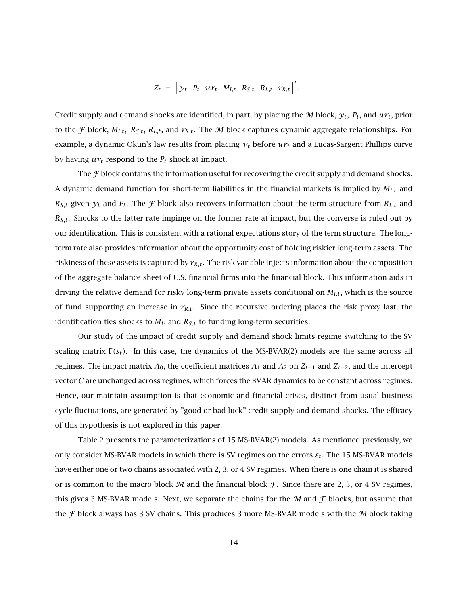$$
Z_t = \left[ y_t \quad P_t \quad u r_t \quad M_{I,t} \quad R_{S,t} \quad R_{L,t} \quad r_{R,t} \right]^{\prime}.
$$

Credit supply and demand shocks are identified, in part, by placing the M block,  $y_t$ ,  $P_t$ , and  $u\gamma_t$ , prior to the *F* block,  $M_{I,t}$ ,  $R_{S,t}$ ,  $R_{L,t}$ , and  $r_{R,t}$ . The *M* block captures dynamic aggregate relationships. For example, a dynamic Okun's law results from placing *y<sup>t</sup>* before *ur<sup>t</sup>* and a Lucas-Sargent Phillips curve by having  $ur_t$  respond to the  $P_t$  shock at impact.

The  $\mathcal F$  block contains the information useful for recovering the credit supply and demand shocks. A dynamic demand function for short-term liabilities in the financial markets is implied by *MI,t* and  $R_{S,t}$  given  $y_t$  and  $P_t$ . The *f* block also recovers information about the term structure from  $R_{L,t}$  and  $R_{S,t}$ . Shocks to the latter rate impinge on the former rate at impact, but the converse is ruled out by our identification. This is consistent with a rational expectations story of the term structure. The longterm rate also provides information about the opportunity cost of holding riskier long-term assets. The riskiness of these assets is captured by  $r_{R,t}$ . The risk variable injects information about the composition of the aggregate balance sheet of U.S. financial firms into the financial block. This information aids in driving the relative demand for risky long-term private assets conditional on  $M_{I,t}$ , which is the source of fund supporting an increase in  $r_{R,t}$ . Since the recursive ordering places the risk proxy last, the identification ties shocks to *M<sup>I</sup>* , and *RS,t* to funding long-term securities.

Our study of the impact of credit supply and demand shock limits regime switching to the SV scaling matrix  $\Gamma(s_t)$ . In this case, the dynamics of the MS-BVAR(2) models are the same across all regimes. The impact matrix  $A_0$ , the coefficient matrices  $A_1$  and  $A_2$  on  $Z_{t-1}$  and  $Z_{t-2}$ , and the intercept vector C are unchanged across regimes, which forces the BVAR dynamics to be constant across regimes. Hence, our maintain assumption is that economic and financial crises, distinct from usual business cycle fluctuations, are generated by "good or bad luck" credit supply and demand shocks. The efficacy of this hypothesis is not explored in this paper.

Table 2 presents the parameterizations of 15 MS-BVAR(2) models. As mentioned previously, we only consider MS-BVAR models in which there is SV regimes on the errors  $\varepsilon_t$ . The 15 MS-BVAR models have either one or two chains associated with 2, 3, or 4 SV regimes. When there is one chain it is shared or is common to the macro block  $M$  and the financial block  $\mathcal F$ . Since there are 2, 3, or 4 SV regimes, this gives 3 MS-BVAR models. Next, we separate the chains for the  $M$  and  $\mathcal F$  blocks, but assume that the  $\mathcal F$  block always has 3 SV chains. This produces 3 more MS-BVAR models with the M block taking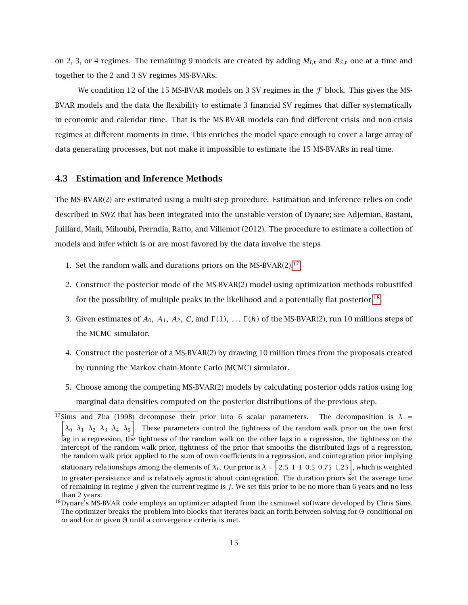on 2, 3, or 4 regimes. The remaining 9 models are created by adding *MI,t* and *RS,t* one at a time and together to the 2 and 3 SV regimes MS-BVARs.

We condition 12 of the 15 MS-BVAR models on 3 SV regimes in the  $\mathcal F$  block. This gives the MS-BVAR models and the data the flexibility to estimate 3 financial SV regimes that differ systematically in economic and calendar time. That is the MS-BVAR models can find different crisis and non-crisis regimes at different moments in time. This enriches the model space enough to cover a large array of data generating processes, but not make it impossible to estimate the 15 MS-BVARs in real time.

#### 4.3 Estimation and Inference Methods

The MS-BVAR(2) are estimated using a multi-step procedure. Estimation and inference relies on code described in SWZ that has been integrated into the unstable version of Dynare; see Adjemian, Bastani, Juillard, Maih, Mihoubi, Prerndia, Ratto, and Villemot (2012). The procedure to estimate a collection of models and infer which is or are most favored by the data involve the steps

- 1. Set the random walk and durations priors on the MS-BVAR(2). $17$
- 2. Construct the posterior mode of the MS-BVAR(2) model using optimization methods robustifed for the possibility of multiple peaks in the likelihood and a potentially flat posterior.<sup>[18](#page-0-0)</sup>
- 3. Given estimates of  $A_0$ ,  $A_1$ ,  $A_2$ ,  $C$ , and  $\Gamma(1)$ ,  $\ldots$   $\Gamma(h)$  of the MS-BVAR(2), run 10 millions steps of the MCMC simulator.
- 4. Construct the posterior of a MS-BVAR(2) by drawing 10 million times from the proposals created by running the Markov chain-Monte Carlo (MCMC) simulator.
- 5. Choose among the competing MS-BVAR(2) models by calculating posterior odds ratios using log marginal data densities computed on the posterior distributions of the previous step.

<sup>&</sup>lt;sup>17</sup>Sims and Zha (1998) decompose their prior into 6 scalar parameters. The decomposition is  $\lambda =$  $\left[\lambda_0 \lambda_1 \lambda_2 \lambda_3 \lambda_4 \lambda_5\right]$ . These parameters control the tightness of the random walk prior on the own first lag in a regression, the tightness of the random walk on the other lags in a regression, the tightness on the intercept of the random walk prior, tightness of the prior that smooths the distributed lags of a regression, the random walk prior applied to the sum of own coefficients in a regression, and cointegration prior implying stationary relationships among the elements of  $X_t$ . Our prior is  $\lambda=\bigg[2.5~~1~~1~~0.5~~0.75~~1.25\bigg],$  which is weighted to greater persistence and is relatively agnostic about cointegration. The duration priors set the average time of remaining in regime *j* given the current regime is *j*. We set this prior to be no more than 6 years and no less than 2 years.

 $^{18}$ Dynare's MS-BVAR code employs an optimizer adapted from the csminwel software developed by Chris Sims. The optimizer breaks the problem into blocks that iterates back an forth between solving for <sup>Θ</sup> conditional on *<sup>ω</sup>* and for *<sup>ω</sup>* given <sup>Θ</sup> until a convergence criteria is met.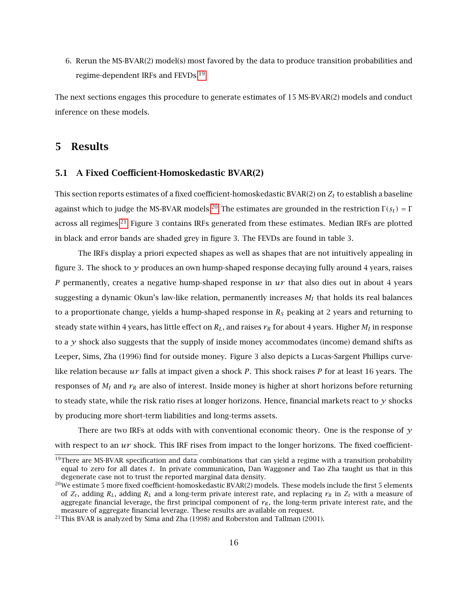6. Rerun the MS-BVAR(2) model(s) most favored by the data to produce transition probabilities and regime-dependent IRFs and FEVDs.[19](#page-0-0)

The next sections engages this procedure to generate estimates of 15 MS-BVAR(2) models and conduct inference on these models.

## 5 Results

#### 5.1 A Fixed Coefficient-Homoskedastic BVAR(2)

This section reports estimates of a fixed coefficient-homoskedastic BVAR(2) on *Z<sup>t</sup>* to establish a baseline against which to judge the MS-BVAR models.<sup>[20](#page-0-0)</sup> The estimates are grounded in the restriction  $\Gamma(s_t) = \Gamma$ across all regimes.<sup>[21](#page-0-0)</sup> Figure 3 contains IRFs generated from these estimates. Median IRFs are plotted in black and error bands are shaded grey in figure 3. The FEVDs are found in table 3.

The IRFs display a priori expected shapes as well as shapes that are not intuitively appealing in figure 3. The shock to *y* produces an own hump-shaped response decaying fully around 4 years, raises *P* permanently, creates a negative hump-shaped response in *ur* that also dies out in about 4 years suggesting a dynamic Okun's law-like relation, permanently increases *M<sup>I</sup>* that holds its real balances to a proportionate change, yields a hump-shaped response in *R<sup>S</sup>* peaking at 2 years and returning to steady state within 4 years, has little effect on  $R_L$ , and raises  $r_R$  for about 4 years. Higher  $M_I$  in response to a *y* shock also suggests that the supply of inside money accommodates (income) demand shifts as Leeper, Sims, Zha (1996) find for outside money. Figure 3 also depicts a Lucas-Sargent Phillips curvelike relation because *ur* falls at impact given a shock *P*. This shock raises *P* for at least 16 years. The responses of *M<sup>I</sup>* and *r<sup>R</sup>* are also of interest. Inside money is higher at short horizons before returning to steady state, while the risk ratio rises at longer horizons. Hence, financial markets react to *y* shocks by producing more short-term liabilities and long-terms assets.

There are two IRFs at odds with with conventional economic theory. One is the response of *y* with respect to an *ur* shock. This IRF rises from impact to the longer horizons. The fixed coefficient-

 $19$ There are MS-BVAR specification and data combinations that can yield a regime with a transition probability equal to zero for all dates *t*. In private communication, Dan Waggoner and Tao Zha taught us that in this degenerate case not to trust the reported marginal data density.

<sup>&</sup>lt;sup>20</sup>We estimate 5 more fixed coefficient-homoskedastic BVAR(2) models. These models include the first 5 elements of  $Z_t$ , adding  $R_L$ , adding  $R_L$  and a long-term private interest rate, and replacing  $r_R$  in  $Z_t$  with a measure of aggregate financial leverage, the first principal component of  $r_R$ , the long-term private interest rate, and the measure of aggregate financial leverage. These results are available on request.

<sup>&</sup>lt;sup>21</sup>This BVAR is analyzed by Sima and Zha (1998) and Roberston and Tallman (2001).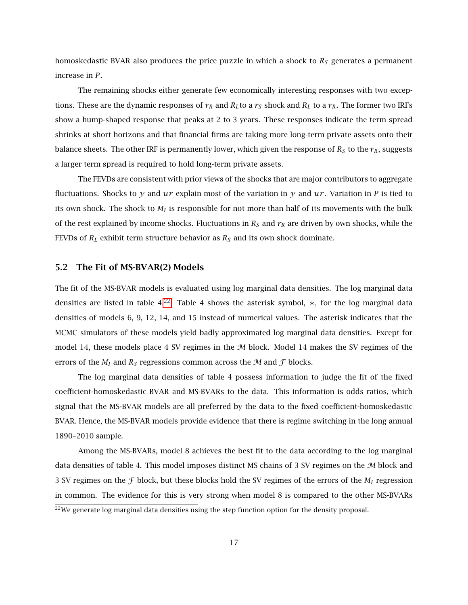homoskedastic BVAR also produces the price puzzle in which a shock to *R<sup>S</sup>* generates a permanent increase in *P*.

The remaining shocks either generate few economically interesting responses with two exceptions. These are the dynamic responses of  $r_R$  and  $R_L$ to a  $r_S$  shock and  $R_L$  to a  $r_R$ . The former two IRFs show a hump-shaped response that peaks at 2 to 3 years. These responses indicate the term spread shrinks at short horizons and that financial firms are taking more long-term private assets onto their balance sheets. The other IRF is permanently lower, which given the response of  $R<sub>S</sub>$  to the  $r<sub>R</sub>$ , suggests a larger term spread is required to hold long-term private assets.

The FEVDs are consistent with prior views of the shocks that are major contributors to aggregate fluctuations. Shocks to  $\gamma$  and  $ur$  explain most of the variation in  $\gamma$  and  $ur$ . Variation in P is tied to its own shock. The shock to *M<sup>I</sup>* is responsible for not more than half of its movements with the bulk of the rest explained by income shocks. Fluctuations in  $R_S$  and  $r_R$  are driven by own shocks, while the FEVDs of *R<sup>L</sup>* exhibit term structure behavior as *R<sup>S</sup>* and its own shock dominate.

#### 5.2 The Fit of MS-BVAR(2) Models

The fit of the MS-BVAR models is evaluated using log marginal data densities. The log marginal data densities are listed in table  $4^{22}$  $4^{22}$  $4^{22}$  Table 4 shows the asterisk symbol, \*, for the log marginal data densities of models 6, 9, 12, 14, and 15 instead of numerical values. The asterisk indicates that the MCMC simulators of these models yield badly approximated log marginal data densities. Except for model 14, these models place 4 SV regimes in the  $M$  block. Model 14 makes the SV regimes of the errors of the  $M_I$  and  $R_S$  regressions common across the  $M$  and  $\mathcal F$  blocks.

The log marginal data densities of table 4 possess information to judge the fit of the fixed coefficient-homoskedastic BVAR and MS-BVARs to the data. This information is odds ratios, which signal that the MS-BVAR models are all preferred by the data to the fixed coefficient-homoskedastic BVAR. Hence, the MS-BVAR models provide evidence that there is regime switching in the long annual 1890–2010 sample.

Among the MS-BVARs, model 8 achieves the best fit to the data according to the log marginal data densities of table 4. This model imposes distinct MS chains of 3 SV regimes on the  $M$  block and 3 SV regimes on the F block, but these blocks hold the SV regimes of the errors of the *M<sup>I</sup>* regression in common. The evidence for this is very strong when model 8 is compared to the other MS-BVARs

<sup>&</sup>lt;sup>22</sup>We generate log marginal data densities using the step function option for the density proposal.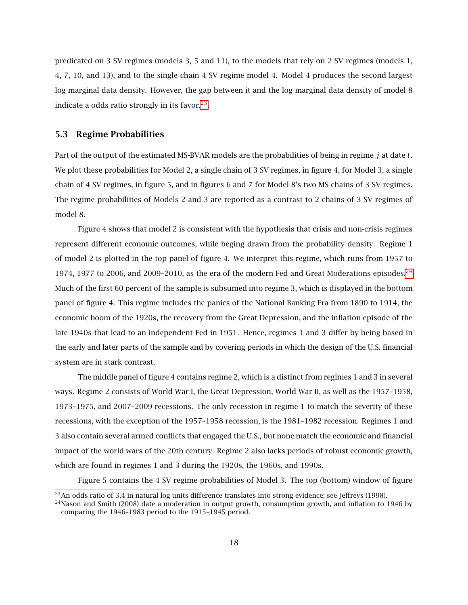predicated on 3 SV regimes (models 3, 5 and 11), to the models that rely on 2 SV regimes (models 1, 4, 7, 10, and 13), and to the single chain 4 SV regime model 4. Model 4 produces the second largest log marginal data density. However, the gap between it and the log marginal data density of model 8 indicate a odds ratio strongly in its favor. $^{23}$  $^{23}$  $^{23}$ .

#### 5.3 Regime Probabilities

Part of the output of the estimated MS-BVAR models are the probabilities of being in regime *j* at date *t*. We plot these probabilities for Model 2, a single chain of 3 SV regimes, in figure 4, for Model 3, a single chain of 4 SV regimes, in figure 5, and in figures 6 and 7 for Model 8's two MS chains of 3 SV regimes. The regime probabilities of Models 2 and 3 are reported as a contrast to 2 chains of 3 SV regimes of model 8.

Figure 4 shows that model 2 is consistent with the hypothesis that crisis and non-crisis regimes represent different economic outcomes, while beging drawn from the probability density. Regime 1 of model 2 is plotted in the top panel of figure 4. We interpret this regime, which runs from 1957 to 1974, 1977 to 2006, and 2009-2010, as the era of the modern Fed and Great Moderations episodes. $^{24}$  $^{24}$  $^{24}$ Much of the first 60 percent of the sample is subsumed into regime 3, which is displayed in the bottom panel of figure 4. This regime includes the panics of the National Banking Era from 1890 to 1914, the economic boom of the 1920s, the recovery from the Great Depression, and the inflation episode of the late 1940s that lead to an independent Fed in 1951. Hence, regimes 1 and 3 differ by being based in the early and later parts of the sample and by covering periods in which the design of the U.S. financial system are in stark contrast.

The middle panel of figure 4 contains regime 2, which is a distinct from regimes 1 and 3 in several ways. Regime 2 consists of World War I, the Great Depression, World War II, as well as the 1957–1958, 1973–1975, and 2007–2009 recessions. The only recession in regime 1 to match the severity of these recessions, with the exception of the 1957–1958 recession, is the 1981–1982 recession. Regimes 1 and 3 also contain several armed conflicts that engaged the U.S., but none match the economic and financial impact of the world wars of the 20th century. Regime 2 also lacks periods of robust economic growth, which are found in regimes 1 and 3 during the 1920s, the 1960s, and 1990s.

Figure 5 contains the 4 SV regime probabilities of Model 3. The top (bottom) window of figure

<sup>&</sup>lt;sup>23</sup>An odds ratio of 3.4 in natural log units difference translates into strong evidence; see Jeffreys (1998).

<sup>&</sup>lt;sup>24</sup>Nason and Smith (2008) date a moderation in output growth, consumption growth, and inflation to 1946 by comparing the 1946–1983 period to the 1915–1945 period.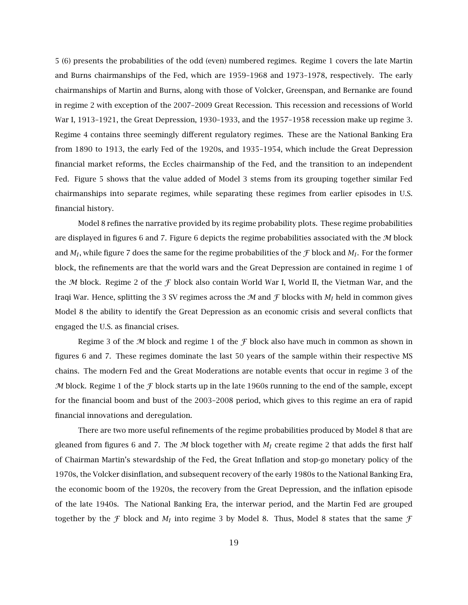5 (6) presents the probabilities of the odd (even) numbered regimes. Regime 1 covers the late Martin and Burns chairmanships of the Fed, which are 1959–1968 and 1973–1978, respectively. The early chairmanships of Martin and Burns, along with those of Volcker, Greenspan, and Bernanke are found in regime 2 with exception of the 2007–2009 Great Recession. This recession and recessions of World War I, 1913–1921, the Great Depression, 1930–1933, and the 1957–1958 recession make up regime 3. Regime 4 contains three seemingly different regulatory regimes. These are the National Banking Era from 1890 to 1913, the early Fed of the 1920s, and 1935–1954, which include the Great Depression financial market reforms, the Eccles chairmanship of the Fed, and the transition to an independent Fed. Figure 5 shows that the value added of Model 3 stems from its grouping together similar Fed chairmanships into separate regimes, while separating these regimes from earlier episodes in U.S. financial history.

Model 8 refines the narrative provided by its regime probability plots. These regime probabilities are displayed in figures 6 and 7. Figure 6 depicts the regime probabilities associated with the  $\mathcal M$  block and  $M_I$ , while figure 7 does the same for the regime probabilities of the  ${\cal F}$  block and  $M_I.$  For the former block, the refinements are that the world wars and the Great Depression are contained in regime 1 of the M block. Regime 2 of the F block also contain World War I, World II, the Vietman War, and the Iraqi War. Hence, splitting the 3 SV regimes across the  $M$  and  $\mathcal F$  blocks with  $M_I$  held in common gives Model 8 the ability to identify the Great Depression as an economic crisis and several conflicts that engaged the U.S. as financial crises.

Regime 3 of the  $M$  block and regime 1 of the  $\mathcal F$  block also have much in common as shown in figures 6 and 7. These regimes dominate the last 50 years of the sample within their respective MS chains. The modern Fed and the Great Moderations are notable events that occur in regime 3 of the M block. Regime 1 of the  $\mathcal F$  block starts up in the late 1960s running to the end of the sample, except for the financial boom and bust of the 2003–2008 period, which gives to this regime an era of rapid financial innovations and deregulation.

There are two more useful refinements of the regime probabilities produced by Model 8 that are gleaned from figures 6 and 7. The  $M$  block together with  $M_I$  create regime 2 that adds the first half of Chairman Martin's stewardship of the Fed, the Great Inflation and stop-go monetary policy of the 1970s, the Volcker disinflation, and subsequent recovery of the early 1980s to the National Banking Era, the economic boom of the 1920s, the recovery from the Great Depression, and the inflation episode of the late 1940s. The National Banking Era, the interwar period, and the Martin Fed are grouped together by the  $\mathcal F$  block and  $M_I$  into regime 3 by Model 8. Thus, Model 8 states that the same  $\mathcal F$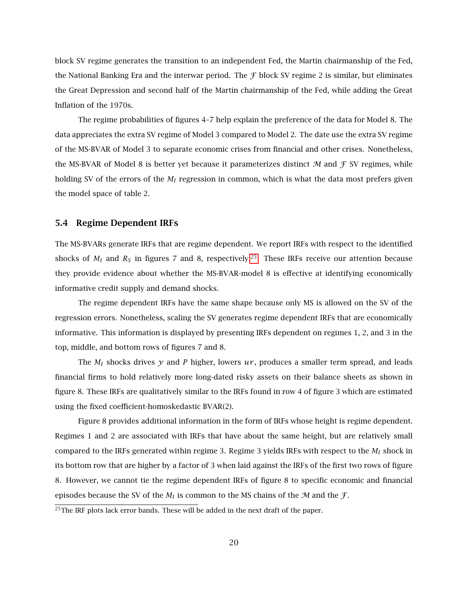block SV regime generates the transition to an independent Fed, the Martin chairmanship of the Fed, the National Banking Era and the interwar period. The  $\mathcal F$  block SV regime 2 is similar, but eliminates the Great Depression and second half of the Martin chairmanship of the Fed, while adding the Great Inflation of the 1970s.

The regime probabilities of figures 4–7 help explain the preference of the data for Model 8. The data appreciates the extra SV regime of Model 3 compared to Model 2. The date use the extra SV regime of the MS-BVAR of Model 3 to separate economic crises from financial and other crises. Nonetheless, the MS-BVAR of Model 8 is better yet because it parameterizes distinct  $M$  and  $f$  SV regimes, while holding SV of the errors of the *M<sup>I</sup>* regression in common, which is what the data most prefers given the model space of table 2.

#### 5.4 Regime Dependent IRFs

The MS-BVARs generate IRFs that are regime dependent. We report IRFs with respect to the identified shocks of  $M_I$  and  $R_S$  in figures 7 and 8, respectively.<sup>[25](#page-0-0)</sup> These IRFs receive our attention because they provide evidence about whether the MS-BVAR-model 8 is effective at identifying economically informative credit supply and demand shocks.

The regime dependent IRFs have the same shape because only MS is allowed on the SV of the regression errors. Nonetheless, scaling the SV generates regime dependent IRFs that are economically informative. This information is displayed by presenting IRFs dependent on regimes 1, 2, and 3 in the top, middle, and bottom rows of figures 7 and 8.

The  $M_I$  shocks drives  $\gamma$  and P higher, lowers  $u\gamma$ , produces a smaller term spread, and leads financial firms to hold relatively more long-dated risky assets on their balance sheets as shown in figure 8. These IRFs are qualitatively similar to the IRFs found in row 4 of figure 3 which are estimated using the fixed coefficient-homoskedastic BVAR(2).

Figure 8 provides additional information in the form of IRFs whose height is regime dependent. Regimes 1 and 2 are associated with IRFs that have about the same height, but are relatively small compared to the IRFs generated within regime 3. Regime 3 yields IRFs with respect to the *M<sup>I</sup>* shock in its bottom row that are higher by a factor of 3 when laid against the IRFs of the first two rows of figure 8. However, we cannot tie the regime dependent IRFs of figure 8 to specific economic and financial episodes because the SV of the  $M_I$  is common to the MS chains of the  $M$  and the  $\mathcal{F}$ .

 $25$ The IRF plots lack error bands. These will be added in the next draft of the paper.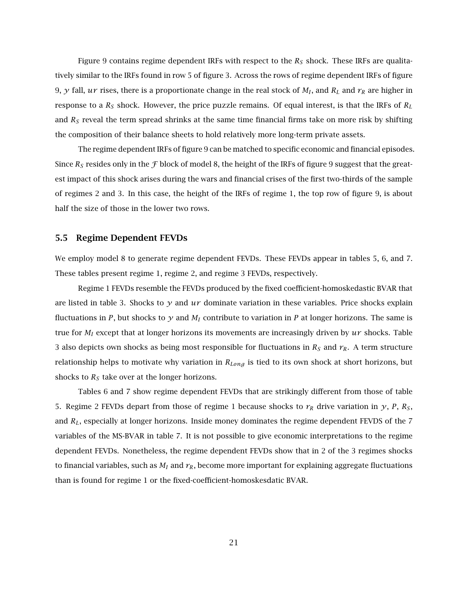Figure 9 contains regime dependent IRFs with respect to the *R<sup>S</sup>* shock. These IRFs are qualitatively similar to the IRFs found in row 5 of figure 3. Across the rows of regime dependent IRFs of figure 9,  $\gamma$  fall,  $u\gamma$  rises, there is a proportionate change in the real stock of  $M_I$ , and  $R_L$  and  $r_R$  are higher in response to a *R<sup>S</sup>* shock. However, the price puzzle remains. Of equal interest, is that the IRFs of *R<sup>L</sup>* and  $R<sub>S</sub>$  reveal the term spread shrinks at the same time financial firms take on more risk by shifting the composition of their balance sheets to hold relatively more long-term private assets.

The regime dependent IRFs of figure 9 can be matched to specific economic and financial episodes. Since  $R<sub>S</sub>$  resides only in the  $\mathcal F$  block of model 8, the height of the IRFs of figure 9 suggest that the greatest impact of this shock arises during the wars and financial crises of the first two-thirds of the sample of regimes 2 and 3. In this case, the height of the IRFs of regime 1, the top row of figure 9, is about half the size of those in the lower two rows.

#### 5.5 Regime Dependent FEVDs

We employ model 8 to generate regime dependent FEVDs. These FEVDs appear in tables 5, 6, and 7. These tables present regime 1, regime 2, and regime 3 FEVDs, respectively.

Regime 1 FEVDs resemble the FEVDs produced by the fixed coefficient-homoskedastic BVAR that are listed in table 3. Shocks to  $\gamma$  and  $\mu\tau$  dominate variation in these variables. Price shocks explain fluctuations in *P*, but shocks to  $\gamma$  and  $M_I$  contribute to variation in *P* at longer horizons. The same is true for *M<sup>I</sup>* except that at longer horizons its movements are increasingly driven by *ur* shocks. Table 3 also depicts own shocks as being most responsible for fluctuations in  $R<sub>S</sub>$  and  $r<sub>R</sub>$ . A term structure relationship helps to motivate why variation in *RLong* is tied to its own shock at short horizons, but shocks to  $R<sub>S</sub>$  take over at the longer horizons.

Tables 6 and 7 show regime dependent FEVDs that are strikingly different from those of table 5. Regime 2 FEVDs depart from those of regime 1 because shocks to  $r_R$  drive variation in  $y$ ,  $P$ ,  $R_S$ , and *RL*, especially at longer horizons. Inside money dominates the regime dependent FEVDS of the 7 variables of the MS-BVAR in table 7. It is not possible to give economic interpretations to the regime dependent FEVDs. Nonetheless, the regime dependent FEVDs show that in 2 of the 3 regimes shocks to financial variables, such as  $M_I$  and  $r_R$ , become more important for explaining aggregate fluctuations than is found for regime 1 or the fixed-coefficient-homoskesdatic BVAR.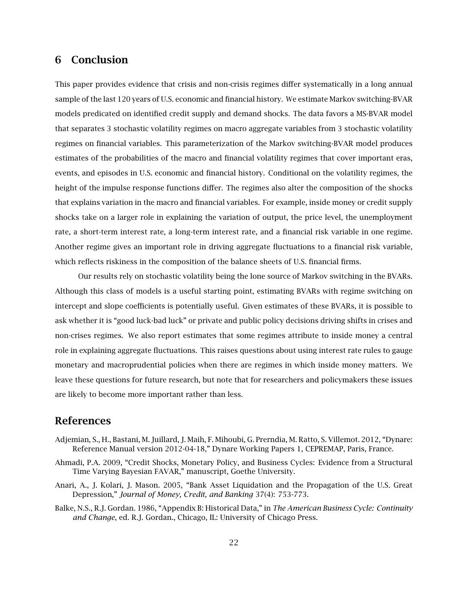# 6 Conclusion

This paper provides evidence that crisis and non-crisis regimes differ systematically in a long annual sample of the last 120 years of U.S. economic and financial history. We estimate Markov switching-BVAR models predicated on identified credit supply and demand shocks. The data favors a MS-BVAR model that separates 3 stochastic volatility regimes on macro aggregate variables from 3 stochastic volatility regimes on financial variables. This parameterization of the Markov switching-BVAR model produces estimates of the probabilities of the macro and financial volatility regimes that cover important eras, events, and episodes in U.S. economic and financial history. Conditional on the volatility regimes, the height of the impulse response functions differ. The regimes also alter the composition of the shocks that explains variation in the macro and financial variables. For example, inside money or credit supply shocks take on a larger role in explaining the variation of output, the price level, the unemployment rate, a short-term interest rate, a long-term interest rate, and a financial risk variable in one regime. Another regime gives an important role in driving aggregate fluctuations to a financial risk variable, which reflects riskiness in the composition of the balance sheets of U.S. financial firms.

Our results rely on stochastic volatility being the lone source of Markov switching in the BVARs. Although this class of models is a useful starting point, estimating BVARs with regime switching on intercept and slope coefficients is potentially useful. Given estimates of these BVARs, it is possible to ask whether it is "good luck-bad luck" or private and public policy decisions driving shifts in crises and non-crises regimes. We also report estimates that some regimes attribute to inside money a central role in explaining aggregate fluctuations. This raises questions about using interest rate rules to gauge monetary and macroprudential policies when there are regimes in which inside money matters. We leave these questions for future research, but note that for researchers and policymakers these issues are likely to become more important rather than less.

## References

- Adjemian, S., H., Bastani, M. Juillard, J. Maih, F. Mihoubi, G. Prerndia, M. Ratto, S. Villemot. 2012, "Dynare: Reference Manual version 2012-04-18," Dynare Working Papers 1, CEPREMAP, Paris, France.
- Ahmadi, P.A. 2009, "Credit Shocks, Monetary Policy, and Business Cycles: Evidence from a Structural Time Varying Bayesian FAVAR," manuscript, Goethe University.
- Anari, A., J. Kolari, J. Mason. 2005, "Bank Asset Liquidation and the Propagation of the U.S. Great Depression," *Journal of Money, Credit, and Banking* 37(4): 753-773.
- Balke, N.S., R.J. Gordan. 1986, "Appendix B: Historical Data," in *The American Business Cycle: Continuity and Change*, ed. R.J. Gordan., Chicago, IL: University of Chicago Press.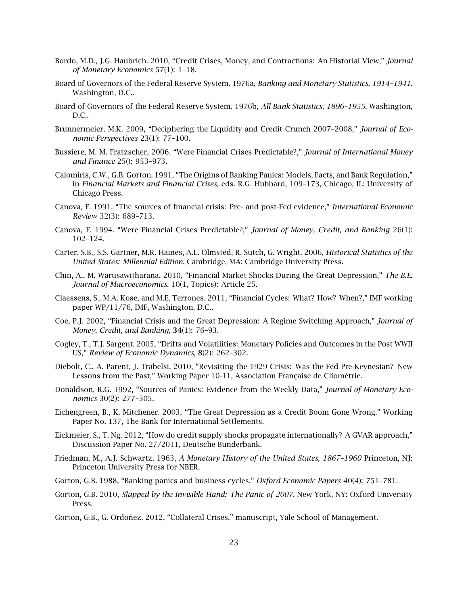- Bordo, M.D., J.G. Haubrich. 2010, "Credit Crises, Money, and Contractions: An Historial View," *Journal of Monetary Economics* 57(1): 1–18.
- Board of Governors of the Federal Reserve System. 1976a, *Banking and Monetary Statistics, 1914–1941.* Washington, D.C..
- Board of Governors of the Federal Reserve System. 1976b, *All Bank Statistics, 1896–1955.* Washington, D.C..
- Brunnermeier, M.K. 2009, "Deciphering the Liquidity and Credit Crunch 2007–2008," *Journal of Economic Perspectives* 23(1): 77–100.
- Bussiere, M. M. Fratzscher, 2006. "Were Financial Crises Predictable?," *Journal of International Money and Finance* 25(): 953–973.
- Calomiris, C.W., G.B. Gorton. 1991, "The Origins of Banking Panics: Models, Facts, and Bank Regulation," in *Financial Markets and Financial Crises,* eds. R.G. Hubbard, 109–173, Chicago, IL: University of Chicago Press.
- Canova, F. 1991. "The sources of financial crisis: Pre- and post-Fed evidence," *International Economic Review* 32(3): 689–713.
- Canova, F. 1994. "Were Financial Crises Predictable?," *Journal of Money, Credit, and Banking* 26(1): 102–124.
- Carter, S.B., S.S. Gartner, M.R. Haines, A.L. Olmsted, R. Sutch, G. Wright. 2006, *Historical Statistics of the United States: Millennial Edition.* Cambridge, MA: Cambridge University Press.
- Chin, A., M. Warusawitharana. 2010, "Financial Market Shocks During the Great Depression," *The B.E. Journal of Macroeconomics.* 10(1, Topics): Article 25.
- Claessens, S., M.A. Kose, and M.E. Terrones. 2011, "Financial Cycles: What? How? When?," IMF working paper WP/11/76, IMF, Washington, D.C..
- Coe, P.J. 2002, "Financial Crisis and the Great Depression: A Regime Switching Approach," *Journal of Money, Credit, and Banking*, 34(1): 76–93.
- Cogley, T., T.J. Sargent. 2005, "Drifts and Volatilities: Monetary Policies and Outcomes in the Post WWII US," *Review of Economic Dynamics*, 8(2): 262–302.
- Diebolt, C., A. Parent, J. Trabelsi. 2010, "Revisiting the 1929 Crisis: Was the Fed Pre-Keynesian? New Lessons from the Past," Working Paper 10-11, Association Française de Cliométrie.
- Donaldson, R.G. 1992, "Sources of Panics: Evidence from the Weekly Data," *Journal of Monetary Economics* 30(2): 277–305.
- Eichengreen, B., K. Mitchener. 2003, "The Great Depression as a Credit Boom Gone Wrong." Working Paper No. 137, The Bank for International Settlements.
- Eickmeier, S., T. Ng. 2012, "How do credit supply shocks propagate internationally? A GVAR approach," Discussion Paper No. 27/2011, Deutsche Bunderbank.
- Friedman, M., A.J. Schwartz. 1963, *A Monetary History of the United States, 1867–1960* Princeton, NJ: Princeton University Press for NBER.
- Gorton, G.B. 1988, "Banking panics and business cycles," *Oxford Economic Papers* 40(4): 751–781.
- Gorton, G.B. 2010, *Slapped by the Invisible Hand: The Panic of 2007.* New York, NY: Oxford University Press.
- Gorton, G.B., G. Ordoñez. 2012, "Collateral Crises," manuscript, Yale School of Management.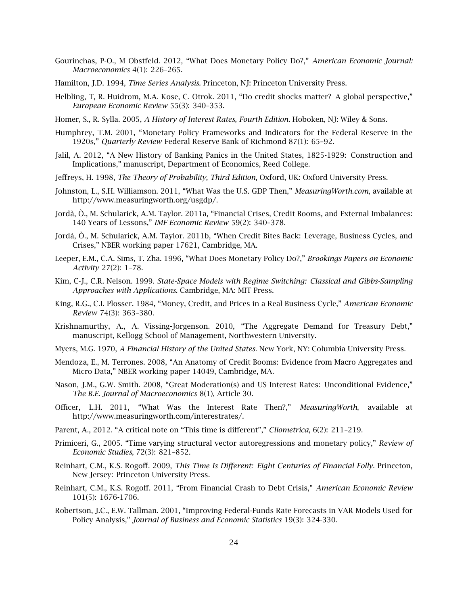- Gourinchas, P-O., M Obstfeld. 2012, "What Does Monetary Policy Do?," *American Economic Journal: Macroeconomics* 4(1): 226–265.
- Hamilton, J.D. 1994, *Time Series Analysis.* Princeton, NJ: Princeton University Press.
- Helbling, T, R. Huidrom, M.A. Kose, C. Otrok. 2011, "Do credit shocks matter? A global perspective," *European Economic Review* 55(3): 340–353.
- Homer, S., R. Sylla. 2005, *A History of Interest Rates, Fourth Edition.* Hoboken, NJ: Wiley & Sons.
- Humphrey, T.M. 2001, "Monetary Policy Frameworks and Indicators for the Federal Reserve in the 1920s," *Quarterly Review* Federal Reserve Bank of Richmond 87(1): 65–92.
- Jalil, A. 2012, "A New History of Banking Panics in the United States, 1825-1929: Construction and Implications," manuscript, Department of Economics, Reed College.
- Jeffreys, H. 1998, *The Theory of Probability, Third Edition*, Oxford, UK: Oxford University Press.
- Johnston, L., S.H. Williamson. 2011, "What Was the U.S. GDP Then," *MeasuringWorth.com*, available at http://www.measuringworth.org/usgdp/.
- Jordà, Ò., M. Schularick, A.M. Taylor. 2011a, "Financial Crises, Credit Booms, and External Imbalances: 140 Years of Lessons," *IMF Economic Review* 59(2): 340–378.
- Jordà, Ò., M. Schularick, A.M. Taylor. 2011b, "When Credit Bites Back: Leverage, Business Cycles, and Crises," NBER working paper 17621, Cambridge, MA.
- Leeper, E.M., C.A. Sims, T. Zha. 1996, "What Does Monetary Policy Do?," *Brookings Papers on Economic Activity* 27(2): 1–78.
- Kim, C-J., C.R. Nelson. 1999. *State-Space Models with Regime Switching: Classical and Gibbs-Sampling Approaches with Applications.* Cambridge, MA: MIT Press.
- King, R.G., C.I. Plosser. 1984, "Money, Credit, and Prices in a Real Business Cycle," *American Economic Review* 74(3): 363–380.
- Krishnamurthy, A., A. Vissing-Jorgenson. 2010, "The Aggregate Demand for Treasury Debt," manuscript, Kellogg School of Management, Northwestern University.
- Myers, M.G. 1970, *A Financial History of the United States.* New York, NY: Columbia University Press.
- Mendoza, E., M. Terrones. 2008, "An Anatomy of Credit Booms: Evidence from Macro Aggregates and Micro Data," NBER working paper 14049, Cambridge, MA.
- Nason, J.M., G.W. Smith. 2008, "Great Moderation(s) and US Interest Rates: Unconditional Evidence," *The B.E. Journal of Macroeconomics* 8(1), Article 30.
- Officer, L.H. 2011, "What Was the Interest Rate Then?," *MeasuringWorth*, available at http://www.measuringworth.com/interestrates/.
- Parent, A., 2012. "A critical note on "This time is different"," *Cliometrica*, 6(2): 211–219.
- Primiceri, G., 2005. "Time varying structural vector autoregressions and monetary policy," *Review of Economic Studies*, 72(3): 821–852.
- Reinhart, C.M., K.S. Rogoff. 2009, *This Time Is Different: Eight Centuries of Financial Folly.* Princeton, New Jersey: Princeton University Press.
- Reinhart, C.M., K.S. Rogoff. 2011, "From Financial Crash to Debt Crisis," *American Economic Review* 101(5): 1676-1706.
- Robertson, J.C., E.W. Tallman. 2001, "Improving Federal-Funds Rate Forecasts in VAR Models Used for Policy Analysis," *Journal of Business and Economic Statistics* 19(3): 324-330.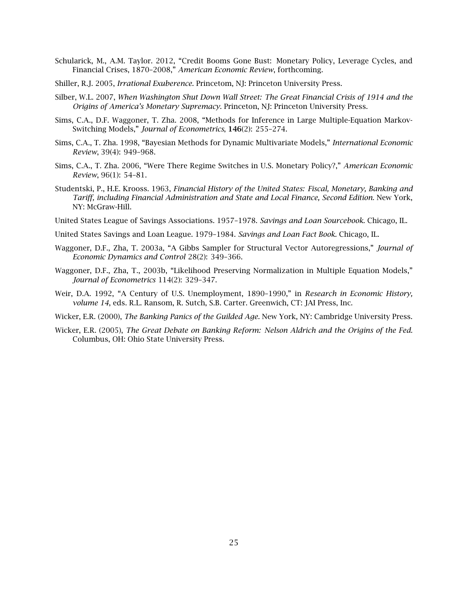- Schularick, M., A.M. Taylor. 2012, "Credit Booms Gone Bust: Monetary Policy, Leverage Cycles, and Financial Crises, 1870–2008," *American Economic Review*, forthcoming.
- Shiller, R.J. 2005, *Irrational Exuberence.* Princetom, NJ: Princeton University Press.
- Silber, W.L. 2007, *When Washington Shut Down Wall Street: The Great Financial Crisis of 1914 and the Origins of America's Monetary Supremacy.* Princeton, NJ: Princeton University Press.
- Sims, C.A., D.F. Waggoner, T. Zha. 2008, "Methods for Inference in Large Multiple-Equation Markov-Switching Models," *Journal of Econometrics*, 146(2): 255–274.
- Sims, C.A., T. Zha. 1998, "Bayesian Methods for Dynamic Multivariate Models," *International Economic Review*, 39(4): 949–968.
- Sims, C.A., T. Zha. 2006, "Were There Regime Switches in U.S. Monetary Policy?," *American Economic Review*, 96(1): 54–81.
- Studentski, P., H.E. Krooss. 1963, *Financial History of the United States: Fiscal, Monetary, Banking and Tariff, including Financial Administration and State and Local Finance, Second Edition.* New York, NY: McGraw-Hill.
- United States League of Savings Associations. 1957–1978. *Savings and Loan Sourcebook.* Chicago, IL.
- United States Savings and Loan League. 1979–1984. *Savings and Loan Fact Book.* Chicago, IL.
- Waggoner, D.F., Zha, T. 2003a, "A Gibbs Sampler for Structural Vector Autoregressions," *Journal of Economic Dynamics and Control* 28(2): 349–366.
- Waggoner, D.F., Zha, T., 2003b, "Likelihood Preserving Normalization in Multiple Equation Models," *Journal of Econometrics* 114(2): 329–347.
- Weir, D.A. 1992, "A Century of U.S. Unemployment, 1890–1990," in *Research in Economic History, volume 14*, eds. R.L. Ransom, R. Sutch, S.B. Carter. Greenwich, CT: JAI Press, Inc.
- Wicker, E.R. (2000), *The Banking Panics of the Guilded Age.* New York, NY: Cambridge University Press.
- Wicker, E.R. (2005), *The Great Debate on Banking Reform: Nelson Aldrich and the Origins of the Fed.* Columbus, OH: Ohio State University Press.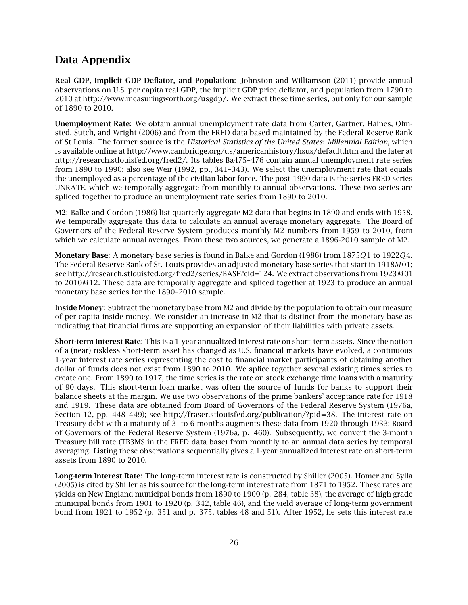## Data Appendix

Real GDP, Implicit GDP Deflator, and Population: Johnston and Williamson (2011) provide annual observations on U.S. per capita real GDP, the implicit GDP price deflator, and population from 1790 to 2010 at http://www.measuringworth.org/usgdp/. We extract these time series, but only for our sample of 1890 to 2010.

Unemployment Rate: We obtain annual unemployment rate data from Carter, Gartner, Haines, Olmsted, Sutch, and Wright (2006) and from the FRED data based maintained by the Federal Reserve Bank of St Louis. The former source is the *Historical Statistics of the United States: Millennial Edition*, which is available online at http://www.cambridge.org/us/americanhistory/hsus/default.htm and the later at http://research.stlouisfed.org/fred2/. Its tables Ba475–476 contain annual unemployment rate series from 1890 to 1990; also see Weir (1992, pp., 341–343). We select the unemployment rate that equals the unemployed as a percentage of the civilian labor force. The post-1990 data is the series FRED series UNRATE, which we temporally aggregate from monthly to annual observations. These two series are spliced together to produce an unemployment rate series from 1890 to 2010.

M2: Balke and Gordon (1986) list quarterly aggregate M2 data that begins in 1890 and ends with 1958. We temporally aggregate this data to calculate an annual average monetary aggregate. The Board of Governors of the Federal Reserve System produces monthly M2 numbers from 1959 to 2010, from which we calculate annual averages. From these two sources, we generate a 1896-2010 sample of M2.

Monetary Base: A monetary base series is found in Balke and Gordon (1986) from 1875*Q*1 to 1922*Q*4. The Federal Reserve Bank of St. Louis provides an adjusted monetary base series that start in 1918*M*01; see http://research.stlouisfed.org/fred2/series/BASE?cid=124. We extract observations from 1923*M*01 to 2010*M*12. These data are temporally aggregate and spliced together at 1923 to produce an annual monetary base series for the 1890–2010 sample.

Inside Money: Subtract the monetary base from M2 and divide by the population to obtain our measure of per capita inside money. We consider an increase in M2 that is distinct from the monetary base as indicating that financial firms are supporting an expansion of their liabilities with private assets.

Short-term Interest Rate: This is a 1-year annualized interest rate on short-term assets. Since the notion of a (near) riskless short-term asset has changed as U.S. financial markets have evolved, a continuous 1-year interest rate series representing the cost to financial market participants of obtaining another dollar of funds does not exist from 1890 to 2010. We splice together several existing times series to create one. From 1890 to 1917, the time series is the rate on stock exchange time loans with a maturity of 90 days. This short-term loan market was often the source of funds for banks to support their balance sheets at the margin. We use two observations of the prime bankers' acceptance rate for 1918 and 1919. These data are obtained from Board of Governors of the Federal Reserve System (1976a, Section 12, pp. 448–449); see http://fraser.stlouisfed.org/publication/?pid=38. The interest rate on Treasury debt with a maturity of 3- to 6-months augments these data from 1920 through 1933; Board of Governors of the Federal Reserve System (1976a, p. 460). Subsequently, we convert the 3-month Treasury bill rate (TB3MS in the FRED data base) from monthly to an annual data series by temporal averaging. Listing these observations sequentially gives a 1-year annualized interest rate on short-term assets from 1890 to 2010.

Long-term Interest Rate: The long-term interest rate is constructed by Shiller (2005). Homer and Sylla (2005) is cited by Shiller as his source for the long-term interest rate from 1871 to 1952. These rates are yields on New England municipal bonds from 1890 to 1900 (p. 284, table 38), the average of high grade municipal bonds from 1901 to 1920 (p. 342, table 46), and the yield average of long-term government bond from 1921 to 1952 (p. 351 and p. 375, tables 48 and 51). After 1952, he sets this interest rate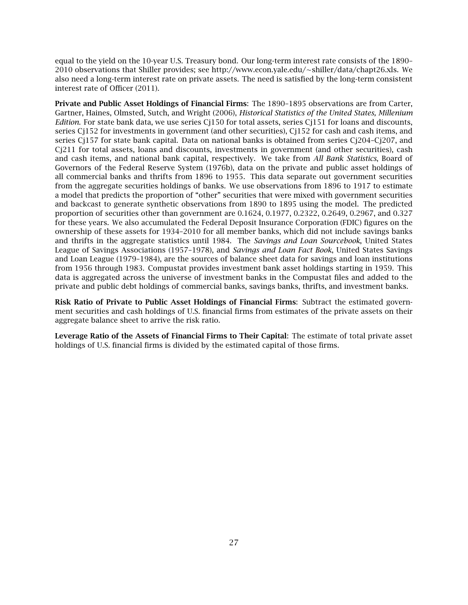equal to the yield on the 10-year U.S. Treasury bond. Our long-term interest rate consists of the 1890– 2010 observations that Shiller provides; see http://www.econ.yale.edu/∼shiller/data/chapt26.xls. We also need a long-term interest rate on private assets. The need is satisfied by the long-term consistent interest rate of Officer (2011).

Private and Public Asset Holdings of Financial Firms: The 1890–1895 observations are from Carter, Gartner, Haines, Olmsted, Sutch, and Wright (2006), *Historical Statistics of the United States, Millenium Edition*. For state bank data, we use series Cj150 for total assets, series Cj151 for loans and discounts, series Cj152 for investments in government (and other securities), Cj152 for cash and cash items, and series Cj157 for state bank capital. Data on national banks is obtained from series Cj204–Cj207, and Cj211 for total assets, loans and discounts, investments in government (and other securities), cash and cash items, and national bank capital, respectively. We take from *All Bank Statistics*, Board of Governors of the Federal Reserve System (1976b), data on the private and public asset holdings of all commercial banks and thrifts from 1896 to 1955. This data separate out government securities from the aggregate securities holdings of banks. We use observations from 1896 to 1917 to estimate a model that predicts the proportion of "other" securities that were mixed with government securities and backcast to generate synthetic observations from 1890 to 1895 using the model. The predicted proportion of securities other than government are 0.1624, 0.1977, 0.2322, 0.2649, 0.2967, and 0.327 for these years. We also accumulated the Federal Deposit Insurance Corporation (FDIC) figures on the ownership of these assets for 1934–2010 for all member banks, which did not include savings banks and thrifts in the aggregate statistics until 1984. The *Savings and Loan Sourcebook*, United States League of Savings Associations (1957–1978), and *Savings and Loan Fact Book*, United States Savings and Loan League (1979–1984), are the sources of balance sheet data for savings and loan institutions from 1956 through 1983. Compustat provides investment bank asset holdings starting in 1959. This data is aggregated across the universe of investment banks in the Compustat files and added to the private and public debt holdings of commercial banks, savings banks, thrifts, and investment banks.

Risk Ratio of Private to Public Asset Holdings of Financial Firms: Subtract the estimated government securities and cash holdings of U.S. financial firms from estimates of the private assets on their aggregate balance sheet to arrive the risk ratio.

Leverage Ratio of the Assets of Financial Firms to Their Capital: The estimate of total private asset holdings of U.S. financial firms is divided by the estimated capital of those firms.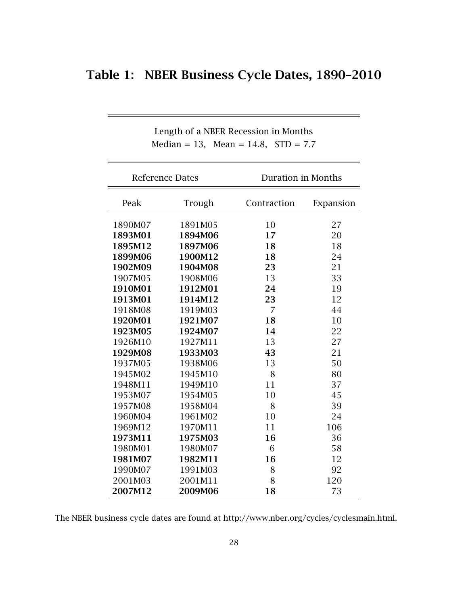# Table 1: NBER Business Cycle Dates, 1890–2010

|         | <b>Reference Dates</b> | <b>Duration in Months</b> |           |  |
|---------|------------------------|---------------------------|-----------|--|
| Peak    | Trough                 | Contraction               | Expansion |  |
| 1890M07 | 1891M05                | 10                        | 27        |  |
| 1893M01 | 1894M06                | 17                        | 20        |  |
| 1895M12 | 1897M06                | 18                        | 18        |  |
| 1899M06 | 1900M12                | 18                        | 24        |  |
| 1902M09 | 1904M08                | 23                        | 21        |  |
| 1907M05 | 1908M06                | 13                        | 33        |  |
| 1910M01 | 1912M01                | 24                        | 19        |  |
| 1913M01 | 1914M12                | 23                        | 12        |  |
| 1918M08 | 1919M03                | $\overline{7}$            | 44        |  |
| 1920M01 | 1921M07                | 18                        | 10        |  |
| 1923M05 | 1924M07                | 14                        | 22        |  |
| 1926M10 | 1927M11                | 13                        | 27        |  |
| 1929M08 | 1933M03                | 43                        | 21        |  |
| 1937M05 | 1938M06                | 13                        | 50        |  |
| 1945M02 | 1945M10                | 8                         | 80        |  |
| 1948M11 | 1949M10                | 11                        | 37        |  |
| 1953M07 | 1954M05                | 10                        | 45        |  |
| 1957M08 | 1958M04                | 8                         | 39        |  |
| 1960M04 | 1961M02                | 10                        | 24        |  |
| 1969M12 | 1970M11                | 11                        | 106       |  |
| 1973M11 | 1975M03                | 16                        | 36        |  |
| 1980M01 | 1980M07                | 6                         | 58        |  |
| 1981M07 | 1982M11                | 16                        | 12        |  |
| 1990M07 | 1991M03                | 8                         | 92        |  |
| 2001M03 | 2001M11                | 8                         | 120       |  |
| 2007M12 | 2009M06                | 18                        | 73        |  |

Length of a NBER Recession in Months Median = 13, Mean = 14.8,  $STD = 7.7$ 

The NBER business cycle dates are found at http://www.nber.org/cycles/cyclesmain.html.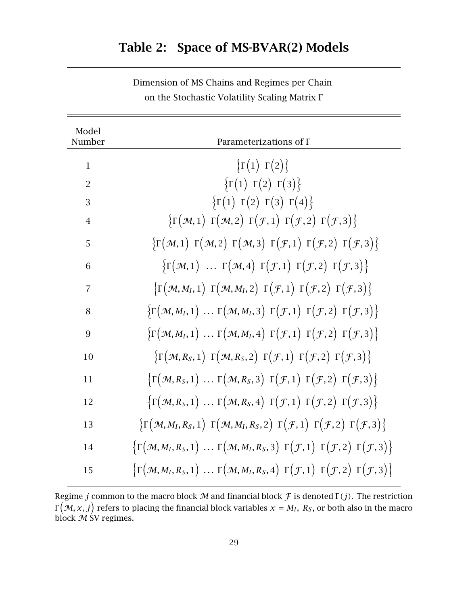# Table 2: Space of MS-BVAR(2) Models

| Model<br>Number | Parameterizations of $\Gamma$                                                                                                                                                                                                   |
|-----------------|---------------------------------------------------------------------------------------------------------------------------------------------------------------------------------------------------------------------------------|
| $\mathbf{1}$    | $\{\Gamma(1) \Gamma(2)\}\$                                                                                                                                                                                                      |
| $\overline{2}$  | $\{\Gamma(1) \Gamma(2) \Gamma(3)\}\$                                                                                                                                                                                            |
| 3               | $\{\Gamma(1) \Gamma(2) \Gamma(3) \Gamma(4)\}\$                                                                                                                                                                                  |
| $\overline{4}$  | $\{\Gamma(\mathcal{M},1)\ \Gamma(\mathcal{M},2)\ \Gamma(\mathcal{F},1)\ \Gamma(\mathcal{F},2)\ \Gamma(\mathcal{F},3)\}\$                                                                                                        |
| 5               | $\{\Gamma(\mathcal{M},1)\ \Gamma(\mathcal{M},2)\ \Gamma(\mathcal{M},3)\ \Gamma(\mathcal{F},1)\ \Gamma(\mathcal{F},2)\ \Gamma(\mathcal{F},3)\}\$                                                                                 |
| 6               | $\{\Gamma(\mathcal{M},1) \dots \Gamma(\mathcal{M},4) \Gamma(\mathcal{F},1) \Gamma(\mathcal{F},2) \Gamma(\mathcal{F},3)\}\$                                                                                                      |
| $\overline{7}$  | $\{\Gamma(\mathcal{M},M_I,1)\ \Gamma(\mathcal{M},M_I,2)\ \Gamma(\mathcal{F},1)\ \Gamma(\mathcal{F},2)\ \Gamma(\mathcal{F},3)\}\$                                                                                                |
| 8               | $\{\Gamma(\mathcal{M},M_I,1)\ldots\Gamma(\mathcal{M},M_I,3)\Gamma(\mathcal{F},1)\Gamma(\mathcal{F},2)\Gamma(\mathcal{F},3)\}\$                                                                                                  |
| 9               | $\{\Gamma(\mathcal{M},M_I,1)\ldots\Gamma(\mathcal{M},M_I,4)\Gamma(\mathcal{F},1)\Gamma(\mathcal{F},2)\Gamma(\mathcal{F},3)\}\$                                                                                                  |
| 10              | $\{\Gamma(\mathcal{M}, R_S, 1) \Gamma(\mathcal{M}, R_S, 2) \Gamma(\mathcal{F}, 1) \Gamma(\mathcal{F}, 2) \Gamma(\mathcal{F}, 3)\}\$                                                                                             |
| 11              | $\{\Gamma(\mathcal{M}, R_S, 1) \dots \Gamma(\mathcal{M}, R_S, 3) \Gamma(\mathcal{F}, 1) \Gamma(\mathcal{F}, 2) \Gamma(\mathcal{F}, 3)\}\$                                                                                       |
| 12              | $\{\Gamma(\mathcal{M}, R_S, 1) \dots \Gamma(\mathcal{M}, R_S, 4) \Gamma(\mathcal{F}, 1) \Gamma(\mathcal{F}, 2) \Gamma(\mathcal{F}, 3)\}\$                                                                                       |
| 13              | $\left\{ \Gamma \left( \mathcal{M}, M_I, R_S, 1 \right) \Gamma \left( \mathcal{M}, M_I, R_S, 2 \right) \Gamma \left( \mathcal{F}, 1 \right) \Gamma \left( \mathcal{F}, 2 \right) \Gamma \left( \mathcal{F}, 3 \right) \right\}$ |
| 14              | $\{\Gamma(\mathcal{M},M_I,R_S,1)\ldots\Gamma(\mathcal{M},M_I,R_S,3)\Gamma(\mathcal{F},1)\Gamma(\mathcal{F},2)\Gamma(\mathcal{F},3)\}\$                                                                                          |
| 15              | $\{\Gamma(\mathcal{M},M_I,R_S,1)\ldots\Gamma(\mathcal{M},M_I,R_S,4)\Gamma(\mathcal{F},1)\Gamma(\mathcal{F},2)\Gamma(\mathcal{F},3)\}\$                                                                                          |

Dimension of MS Chains and Regimes per Chain on the Stochastic Volatility Scaling Matrix <sup>Γ</sup>

Regime *j* common to the macro block  $M$  and financial block  $\mathcal F$  is denoted  $\Gamma(j)$ . The restriction  $\frac{1}{2}$  block  $\frac{1}{2}$  SV regimes.  $(\mathcal{M}, x, j)$  refers to placing the financial block variables  $x = M_I$ ,  $R_S$ , or both also in the macro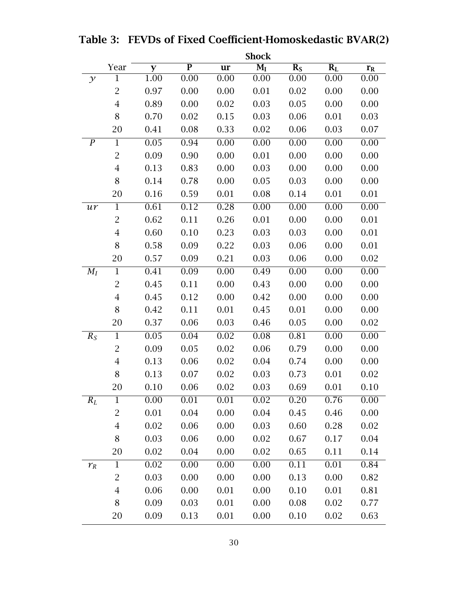|                  |                | <b>Shock</b> |                         |      |                                      |                  |       |                         |  |
|------------------|----------------|--------------|-------------------------|------|--------------------------------------|------------------|-------|-------------------------|--|
|                  | Year           | y            | $\overline{\mathbf{P}}$ | ur   | $\overline{\mathbf{M}_{\mathbf{I}}}$ | $\overline{R_S}$ | $R_L$ | $\mathbf{r}_{\text{R}}$ |  |
| $\mathcal{Y}$    | 1              | 1.00         | 0.00                    | 0.00 | 0.00                                 | 0.00             | 0.00  | 0.00                    |  |
|                  | $\overline{2}$ | 0.97         | 0.00                    | 0.00 | 0.01                                 | 0.02             | 0.00  | 0.00                    |  |
|                  | $\overline{4}$ | 0.89         | 0.00                    | 0.02 | 0.03                                 | 0.05             | 0.00  | 0.00                    |  |
|                  | 8              | 0.70         | 0.02                    | 0.15 | 0.03                                 | 0.06             | 0.01  | 0.03                    |  |
|                  | 20             | 0.41         | 0.08                    | 0.33 | 0.02                                 | 0.06             | 0.03  | 0.07                    |  |
| $\boldsymbol{P}$ | $\mathbf{1}$   | 0.05         | 0.94                    | 0.00 | 0.00                                 | 0.00             | 0.00  | 0.00                    |  |
|                  | $\overline{2}$ | 0.09         | 0.90                    | 0.00 | 0.01                                 | 0.00             | 0.00  | 0.00                    |  |
|                  | $\overline{4}$ | 0.13         | 0.83                    | 0.00 | 0.03                                 | 0.00             | 0.00  | 0.00                    |  |
|                  | 8              | 0.14         | 0.78                    | 0.00 | 0.05                                 | 0.03             | 0.00  | 0.00                    |  |
|                  | 20             | 0.16         | 0.59                    | 0.01 | 0.08                                 | 0.14             | 0.01  | 0.01                    |  |
| ur               | $\mathbf{1}$   | 0.61         | 0.12                    | 0.28 | 0.00                                 | 0.00             | 0.00  | 0.00                    |  |
|                  | $\overline{2}$ | 0.62         | 0.11                    | 0.26 | 0.01                                 | 0.00             | 0.00  | 0.01                    |  |
|                  | $\overline{4}$ | 0.60         | 0.10                    | 0.23 | 0.03                                 | 0.03             | 0.00  | 0.01                    |  |
|                  | 8              | 0.58         | 0.09                    | 0.22 | 0.03                                 | 0.06             | 0.00  | 0.01                    |  |
|                  | 20             | 0.57         | 0.09                    | 0.21 | 0.03                                 | 0.06             | 0.00  | 0.02                    |  |
| $M_I$            | $\overline{1}$ | 0.41         | 0.09                    | 0.00 | 0.49                                 | 0.00             | 0.00  | 0.00                    |  |
|                  | $\overline{2}$ | 0.45         | 0.11                    | 0.00 | 0.43                                 | 0.00             | 0.00  | 0.00                    |  |
|                  | $\overline{4}$ | 0.45         | 0.12                    | 0.00 | 0.42                                 | 0.00             | 0.00  | 0.00                    |  |
|                  | 8              | 0.42         | 0.11                    | 0.01 | 0.45                                 | 0.01             | 0.00  | 0.00                    |  |
|                  | 20             | 0.37         | 0.06                    | 0.03 | 0.46                                 | 0.05             | 0.00  | 0.02                    |  |
| $R_S$            | $\mathbf{1}$   | 0.05         | 0.04                    | 0.02 | 0.08                                 | 0.81             | 0.00  | 0.00                    |  |
|                  | $\overline{2}$ | 0.09         | 0.05                    | 0.02 | 0.06                                 | 0.79             | 0.00  | 0.00                    |  |
|                  | $\overline{4}$ | 0.13         | 0.06                    | 0.02 | 0.04                                 | 0.74             | 0.00  | 0.00                    |  |
|                  | 8              | 0.13         | 0.07                    | 0.02 | 0.03                                 | 0.73             | 0.01  | 0.02                    |  |
|                  | 20             | 0.10         | 0.06                    | 0.02 | 0.03                                 | 0.69             | 0.01  | 0.10                    |  |
| $R_L$            | $\mathbf 1$    | 0.00         | 0.01                    | 0.01 | 0.02                                 | 0.20             | 0.76  | 0.00                    |  |
|                  | $\overline{2}$ | 0.01         | 0.04                    | 0.00 | 0.04                                 | 0.45             | 0.46  | 0.00                    |  |
|                  | $\overline{4}$ | 0.02         | 0.06                    | 0.00 | 0.03                                 | 0.60             | 0.28  | 0.02                    |  |
|                  | 8              | 0.03         | 0.06                    | 0.00 | 0.02                                 | 0.67             | 0.17  | 0.04                    |  |
|                  | 20             | 0.02         | 0.04                    | 0.00 | 0.02                                 | 0.65             | 0.11  | 0.14                    |  |
| $r_R$            | $\mathbf 1$    | 0.02         | 0.00                    | 0.00 | 0.00                                 | 0.11             | 0.01  | 0.84                    |  |
|                  | $\overline{2}$ | 0.03         | 0.00                    | 0.00 | 0.00                                 | 0.13             | 0.00  | 0.82                    |  |
|                  | $\overline{4}$ | 0.06         | 0.00                    | 0.01 | 0.00                                 | 0.10             | 0.01  | 0.81                    |  |
|                  | 8              | 0.09         | 0.03                    | 0.01 | 0.00                                 | 0.08             | 0.02  | 0.77                    |  |
|                  | 20             | 0.09         | 0.13                    | 0.01 | 0.00                                 | 0.10             | 0.02  | 0.63                    |  |

Table 3: FEVDs of Fixed Coefficient-Homoskedastic BVAR(2)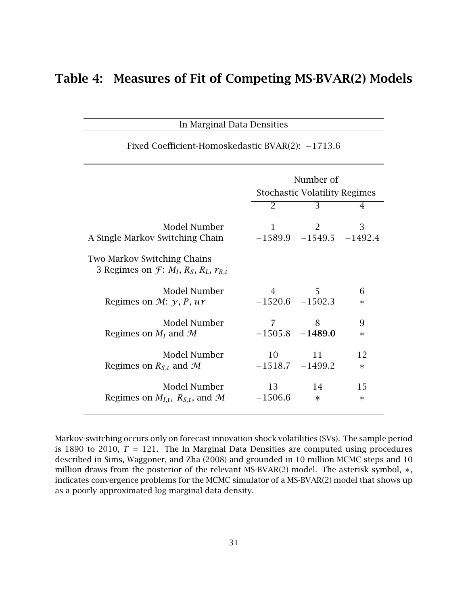# Table 4: Measures of Fit of Competing MS-BVAR(2) Models

ln Marginal Data Densities

|                                                                                | Number of<br><b>Stochastic Volatility Regimes</b> |                                    |        |  |  |
|--------------------------------------------------------------------------------|---------------------------------------------------|------------------------------------|--------|--|--|
|                                                                                | 2                                                 | $\overline{3}$                     | 4      |  |  |
| Model Number<br>A Single Markov Switching Chain                                | $\mathbf{1}$                                      | 2<br>$-1589.9$ $-1549.5$ $-1492.4$ | 3      |  |  |
| <b>Two Markov Switching Chains</b><br>3 Regimes on $f: M_I, R_S, R_L, r_{R,t}$ |                                                   |                                    |        |  |  |
| Model Number                                                                   | $\overline{4}$                                    | 5                                  | 6      |  |  |
| Regimes on $\mathcal{M}$ : $\gamma$ , P, ur                                    | $-1520.6$ $-1502.3$                               |                                    | $\ast$ |  |  |
| Model Number                                                                   | 7                                                 | 8                                  | 9      |  |  |
| Regimes on $M_I$ and $M$                                                       | $-1505.8$ $-1489.0$                               |                                    | $\ast$ |  |  |
| Model Number                                                                   | 10                                                | 11                                 | 12     |  |  |
| Regimes on $R_{S,t}$ and M                                                     | $-1518.7$ $-1499.2$                               |                                    | $\ast$ |  |  |
| Model Number                                                                   | 13                                                | 14                                 | 15     |  |  |
| Regimes on $M_{I,t}$ , $R_{S,t}$ , and M                                       | $-1506.6$                                         | $\ast$                             | $\ast$ |  |  |

#### Fixed Coefficient-Homoskedastic BVAR(2): −1713*.*6

Markov-switching occurs only on forecast innovation shock volatilities (SVs). The sample period is 1890 to 2010,  $T = 121$ . The ln Marginal Data Densities are computed using procedures described in Sims, Waggoner, and Zha (2008) and grounded in 10 million MCMC steps and 10 million draws from the posterior of the relevant MS-BVAR(2) model. The asterisk symbol, ∗, indicates convergence problems for the MCMC simulator of a MS-BVAR(2) model that shows up as a poorly approximated log marginal data density.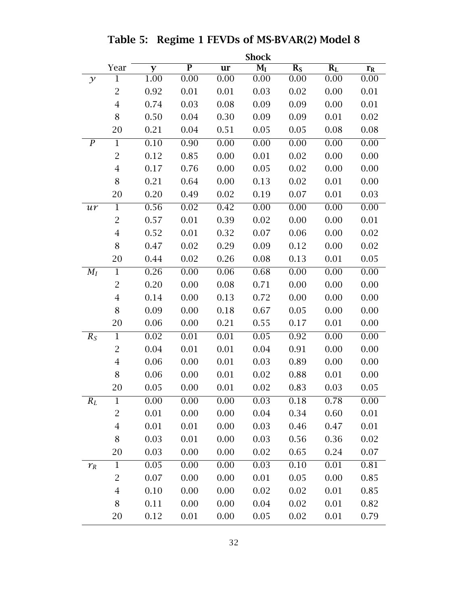|                  | <b>Shock</b>   |                   |                         |                   |                                      |         |       |                   |
|------------------|----------------|-------------------|-------------------------|-------------------|--------------------------------------|---------|-------|-------------------|
|                  | Year           | y                 | $\overline{\mathbf{P}}$ | ur                | $\overline{\mathbf{M}_{\mathbf{I}}}$ | $R_{S}$ | $R_L$ | $r_{R}$           |
| $\mathcal{Y}$    | 1              | 1.00              | 0.00                    | 0.00              | 0.00                                 | 0.00    | 0.00  | 0.00              |
|                  | $\overline{2}$ | 0.92              | 0.01                    | 0.01              | 0.03                                 | 0.02    | 0.00  | 0.01              |
|                  | $\overline{4}$ | 0.74              | 0.03                    | 0.08              | 0.09                                 | 0.09    | 0.00  | 0.01              |
|                  | 8              | 0.50              | 0.04                    | 0.30              | 0.09                                 | 0.09    | 0.01  | 0.02              |
|                  | 20             | 0.21              | 0.04                    | 0.51              | 0.05                                 | 0.05    | 0.08  | 0.08              |
| $\boldsymbol{P}$ | $\mathbf 1$    | 0.10              | 0.90                    | 0.00              | 0.00                                 | 0.00    | 0.00  | 0.00              |
|                  | $\overline{2}$ | 0.12              | 0.85                    | 0.00              | 0.01                                 | 0.02    | 0.00  | 0.00              |
|                  | $\overline{4}$ | 0.17              | 0.76                    | 0.00              | 0.05                                 | 0.02    | 0.00  | 0.00              |
|                  | 8              | 0.21              | 0.64                    | 0.00              | 0.13                                 | 0.02    | 0.01  | 0.00              |
|                  | 20             | 0.20              | 0.49                    | 0.02              | 0.19                                 | 0.07    | 0.01  | 0.03              |
| ur               | $\mathbf{1}$   | 0.56              | 0.02                    | 0.42              | 0.00                                 | 0.00    | 0.00  | 0.00              |
|                  | $\overline{2}$ | 0.57              | 0.01                    | 0.39              | 0.02                                 | 0.00    | 0.00  | 0.01              |
|                  | $\overline{4}$ | 0.52              | 0.01                    | 0.32              | 0.07                                 | 0.06    | 0.00  | 0.02              |
|                  | 8              | 0.47              | 0.02                    | 0.29              | 0.09                                 | 0.12    | 0.00  | 0.02              |
|                  | 20             | 0.44              | 0.02                    | 0.26              | 0.08                                 | 0.13    | 0.01  | 0.05              |
| $M_I$            | $\mathbf{1}$   | 0.26              | 0.00                    | 0.06              | 0.68                                 | 0.00    | 0.00  | 0.00              |
|                  | $\overline{2}$ | 0.20              | 0.00                    | 0.08              | 0.71                                 | 0.00    | 0.00  | 0.00              |
|                  | 4              | 0.14              | 0.00                    | 0.13              | 0.72                                 | 0.00    | 0.00  | 0.00              |
|                  | 8              | 0.09              | 0.00                    | 0.18              | 0.67                                 | 0.05    | 0.00  | 0.00              |
|                  | 20             | 0.06              | 0.00                    | 0.21              | 0.55                                 | 0.17    | 0.01  | 0.00              |
| $R_S$            | $\mathbf{1}$   | 0.02              | 0.01                    | $\overline{0.01}$ | 0.05                                 | 0.92    | 0.00  | 0.00              |
|                  | $\overline{2}$ | 0.04              | 0.01                    | 0.01              | 0.04                                 | 0.91    | 0.00  | 0.00              |
|                  | $\overline{4}$ | 0.06              | 0.00                    | 0.01              | 0.03                                 | 0.89    | 0.00  | 0.00              |
|                  | 8              | 0.06              | 0.00                    | 0.01              | 0.02                                 | 0.88    | 0.01  | 0.00              |
|                  | 20             | 0.05              | 0.00                    | 0.01              | 0.02                                 | 0.83    | 0.03  | 0.05              |
| $R_L$            | $\mathbf{1}$   | $\overline{0.00}$ | $\overline{0.00}$       | $\overline{0.00}$ | 0.03                                 | 0.18    | 0.78  | $\overline{0.00}$ |
|                  | $\overline{c}$ | 0.01              | 0.00                    | 0.00              | 0.04                                 | 0.34    | 0.60  | 0.01              |
|                  | $\overline{4}$ | 0.01              | 0.01                    | 0.00              | 0.03                                 | 0.46    | 0.47  | 0.01              |
|                  | 8              | 0.03              | 0.01                    | 0.00              | 0.03                                 | 0.56    | 0.36  | 0.02              |
|                  | 20             | 0.03              | 0.00                    | 0.00              | 0.02                                 | 0.65    | 0.24  | 0.07              |
| $r_R$            | $\mathbf{1}$   | 0.05              | 0.00                    | 0.00              | 0.03                                 | 0.10    | 0.01  | 0.81              |
|                  | $\overline{2}$ | 0.07              | 0.00                    | 0.00              | 0.01                                 | 0.05    | 0.00  | 0.85              |
|                  | $\overline{4}$ | 0.10              | 0.00                    | 0.00              | 0.02                                 | 0.02    | 0.01  | 0.85              |
|                  | 8              | 0.11              | 0.00                    | 0.00              | 0.04                                 | 0.02    | 0.01  | 0.82              |
|                  | 20             | 0.12              | 0.01                    | 0.00              | 0.05                                 | 0.02    | 0.01  | 0.79              |

Table 5: Regime 1 FEVDs of MS-BVAR(2) Model 8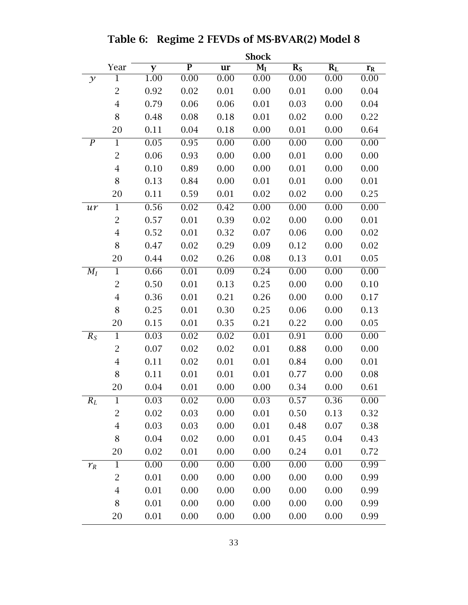|                  | <b>Shock</b>   |      |                         |      |                  |                   |         |         |
|------------------|----------------|------|-------------------------|------|------------------|-------------------|---------|---------|
|                  | Year           | y    | $\overline{\mathbf{P}}$ | ur   | $\overline{M_I}$ | $R_{S}$           | $R_{L}$ | $r_{R}$ |
| $\mathcal{Y}$    | $\mathbf 1$    | 1.00 | 0.00                    | 0.00 | 0.00             | 0.00              | 0.00    | 0.00    |
|                  | $\overline{2}$ | 0.92 | 0.02                    | 0.01 | 0.00             | 0.01              | 0.00    | 0.04    |
|                  | $\overline{4}$ | 0.79 | 0.06                    | 0.06 | 0.01             | 0.03              | 0.00    | 0.04    |
|                  | 8              | 0.48 | 0.08                    | 0.18 | 0.01             | 0.02              | 0.00    | 0.22    |
|                  | 20             | 0.11 | 0.04                    | 0.18 | 0.00             | 0.01              | 0.00    | 0.64    |
| $\boldsymbol{P}$ | $\mathbf{1}$   | 0.05 | 0.95                    | 0.00 | 0.00             | 0.00              | 0.00    | 0.00    |
|                  | $\overline{c}$ | 0.06 | 0.93                    | 0.00 | 0.00             | 0.01              | 0.00    | 0.00    |
|                  | $\overline{4}$ | 0.10 | 0.89                    | 0.00 | 0.00             | 0.01              | 0.00    | 0.00    |
|                  | 8              | 0.13 | 0.84                    | 0.00 | 0.01             | 0.01              | 0.00    | 0.01    |
|                  | 20             | 0.11 | 0.59                    | 0.01 | 0.02             | 0.02              | 0.00    | 0.25    |
| ur               | $\mathbf{1}$   | 0.56 | 0.02                    | 0.42 | 0.00             | 0.00              | 0.00    | 0.00    |
|                  | $\overline{c}$ | 0.57 | 0.01                    | 0.39 | 0.02             | 0.00              | 0.00    | 0.01    |
|                  | $\overline{4}$ | 0.52 | 0.01                    | 0.32 | 0.07             | 0.06              | 0.00    | 0.02    |
|                  | 8              | 0.47 | 0.02                    | 0.29 | 0.09             | 0.12              | 0.00    | 0.02    |
|                  | 20             | 0.44 | 0.02                    | 0.26 | 0.08             | 0.13              | 0.01    | 0.05    |
| $M_I$            | $\mathbf{1}$   | 0.66 | 0.01                    | 0.09 | 0.24             | 0.00              | 0.00    | 0.00    |
|                  | $\overline{2}$ | 0.50 | 0.01                    | 0.13 | 0.25             | 0.00              | 0.00    | 0.10    |
|                  | $\overline{4}$ | 0.36 | 0.01                    | 0.21 | 0.26             | 0.00              | 0.00    | 0.17    |
|                  | 8              | 0.25 | 0.01                    | 0.30 | 0.25             | 0.06              | 0.00    | 0.13    |
|                  | 20             | 0.15 | 0.01                    | 0.35 | 0.21             | 0.22              | 0.00    | 0.05    |
| $R_S$            | $\mathbf{1}$   | 0.03 | 0.02                    | 0.02 | 0.01             | 0.91              | 0.00    | 0.00    |
|                  | $\overline{2}$ | 0.07 | 0.02                    | 0.02 | 0.01             | 0.88              | 0.00    | 0.00    |
|                  | $\overline{4}$ | 0.11 | 0.02                    | 0.01 | 0.01             | 0.84              | 0.00    | 0.01    |
|                  | 8              | 0.11 | 0.01                    | 0.01 | 0.01             | 0.77              | 0.00    | 0.08    |
|                  | 20             | 0.04 | 0.01                    | 0.00 | 0.00             | 0.34              | 0.00    | 0.61    |
| $R_L$            | $\mathbf 1$    | 0.03 | 0.02                    | 0.00 | 0.03             | $\overline{0.57}$ | 0.36    | 0.00    |
|                  | 2              | 0.02 | 0.03                    | 0.00 | 0.01             | 0.50              | 0.13    | 0.32    |
|                  | $\overline{4}$ | 0.03 | 0.03                    | 0.00 | 0.01             | 0.48              | 0.07    | 0.38    |
|                  | 8              | 0.04 | 0.02                    | 0.00 | 0.01             | 0.45              | 0.04    | 0.43    |
|                  | 20             | 0.02 | 0.01                    | 0.00 | 0.00             | 0.24              | 0.01    | 0.72    |
| $r_R$            | $\mathbf{1}$   | 0.00 | 0.00                    | 0.00 | 0.00             | $\overline{0.00}$ | 0.00    | 0.99    |
|                  | $\overline{c}$ | 0.01 | 0.00                    | 0.00 | 0.00             | 0.00              | 0.00    | 0.99    |
|                  | $\overline{4}$ | 0.01 | 0.00                    | 0.00 | 0.00             | 0.00              | 0.00    | 0.99    |
|                  | 8              | 0.01 | 0.00                    | 0.00 | 0.00             | 0.00              | 0.00    | 0.99    |
|                  | 20             | 0.01 | 0.00                    | 0.00 | 0.00             | 0.00              | 0.00    | 0.99    |

Table 6: Regime 2 FEVDs of MS-BVAR(2) Model 8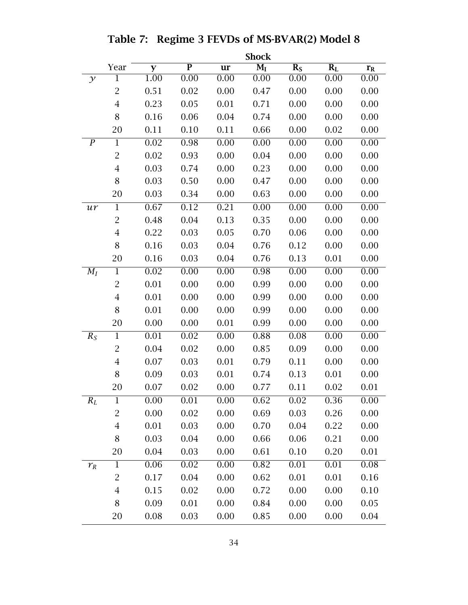|                  | <b>Shock</b>   |          |                |           |       |                  |       |                   |
|------------------|----------------|----------|----------------|-----------|-------|------------------|-------|-------------------|
|                  | Year           | y        | $\overline{P}$ | <b>ur</b> | $M_I$ | $\overline{R}_S$ | $R_L$ | $r_{R}$           |
| $\mathcal{Y}$    | 1              | $1.00\,$ | 0.00           | 0.00      | 0.00  | 0.00             | 0.00  | 0.00              |
|                  | $\overline{2}$ | 0.51     | 0.02           | 0.00      | 0.47  | 0.00             | 0.00  | 0.00              |
|                  | $\overline{4}$ | 0.23     | 0.05           | 0.01      | 0.71  | 0.00             | 0.00  | 0.00              |
|                  | 8              | 0.16     | 0.06           | 0.04      | 0.74  | 0.00             | 0.00  | 0.00              |
|                  | 20             | 0.11     | 0.10           | 0.11      | 0.66  | 0.00             | 0.02  | 0.00              |
| $\boldsymbol{P}$ | $\mathbf 1$    | 0.02     | 0.98           | 0.00      | 0.00  | 0.00             | 0.00  | 0.00              |
|                  | $\overline{2}$ | 0.02     | 0.93           | 0.00      | 0.04  | 0.00             | 0.00  | 0.00              |
|                  | $\overline{4}$ | 0.03     | 0.74           | 0.00      | 0.23  | 0.00             | 0.00  | 0.00              |
|                  | 8              | 0.03     | 0.50           | 0.00      | 0.47  | 0.00             | 0.00  | 0.00              |
|                  | 20             | 0.03     | 0.34           | 0.00      | 0.63  | 0.00             | 0.00  | 0.00              |
| ur               | $\mathbf{1}$   | 0.67     | 0.12           | 0.21      | 0.00  | 0.00             | 0.00  | 0.00              |
|                  | $\overline{2}$ | 0.48     | 0.04           | 0.13      | 0.35  | 0.00             | 0.00  | 0.00              |
|                  | $\overline{4}$ | 0.22     | 0.03           | 0.05      | 0.70  | 0.06             | 0.00  | 0.00              |
|                  | 8              | 0.16     | 0.03           | 0.04      | 0.76  | 0.12             | 0.00  | 0.00              |
|                  | 20             | 0.16     | 0.03           | 0.04      | 0.76  | 0.13             | 0.01  | 0.00              |
| $M_I$            | $\mathbf{1}$   | 0.02     | 0.00           | 0.00      | 0.98  | 0.00             | 0.00  | 0.00              |
|                  | $\overline{2}$ | 0.01     | 0.00           | 0.00      | 0.99  | 0.00             | 0.00  | 0.00              |
|                  | $\overline{4}$ | 0.01     | 0.00           | 0.00      | 0.99  | 0.00             | 0.00  | 0.00              |
|                  | 8              | 0.01     | 0.00           | 0.00      | 0.99  | 0.00             | 0.00  | 0.00              |
|                  | 20             | 0.00     | 0.00           | 0.01      | 0.99  | 0.00             | 0.00  | 0.00              |
| $R_S$            | $\mathbf{1}$   | 0.01     | 0.02           | 0.00      | 0.88  | 0.08             | 0.00  | 0.00              |
|                  | $\overline{2}$ | 0.04     | 0.02           | 0.00      | 0.85  | 0.09             | 0.00  | 0.00              |
|                  | $\overline{4}$ | 0.07     | 0.03           | 0.01      | 0.79  | 0.11             | 0.00  | 0.00              |
|                  | 8              | 0.09     | 0.03           | 0.01      | 0.74  | 0.13             | 0.01  | 0.00              |
|                  | 20             | 0.07     | 0.02           | 0.00      | 0.77  | 0.11             | 0.02  | 0.01              |
| $R_L$            | $\mathbf{1}$   | 0.00     | 0.01           | 0.00      | 0.62  | 0.02             | 0.36  | 0.00              |
|                  | 2              | 0.00     | 0.02           | 0.00      | 0.69  | 0.03             | 0.26  | 0.00              |
|                  | $\overline{4}$ | 0.01     | 0.03           | 0.00      | 0.70  | 0.04             | 0.22  | 0.00              |
|                  | 8              | 0.03     | 0.04           | 0.00      | 0.66  | 0.06             | 0.21  | 0.00              |
|                  | 20             | 0.04     | 0.03           | 0.00      | 0.61  | 0.10             | 0.20  | 0.01              |
| $r_R$            | $\mathbf{1}$   | 0.06     | 0.02           | 0.00      | 0.82  | 0.01             | 0.01  | $\overline{0.08}$ |
|                  | $\overline{2}$ | 0.17     | 0.04           | 0.00      | 0.62  | 0.01             | 0.01  | 0.16              |
|                  | $\overline{4}$ | 0.15     | 0.02           | 0.00      | 0.72  | 0.00             | 0.00  | 0.10              |
|                  | 8              | 0.09     | 0.01           | 0.00      | 0.84  | 0.00             | 0.00  | 0.05              |
|                  | 20             | 0.08     | 0.03           | 0.00      | 0.85  | 0.00             | 0.00  | 0.04              |

Table 7: Regime 3 FEVDs of MS-BVAR(2) Model 8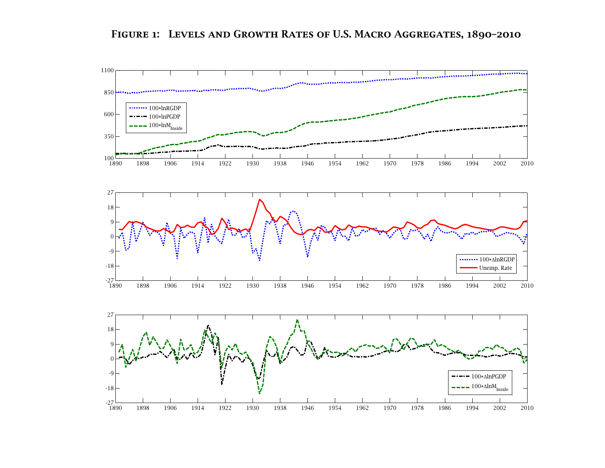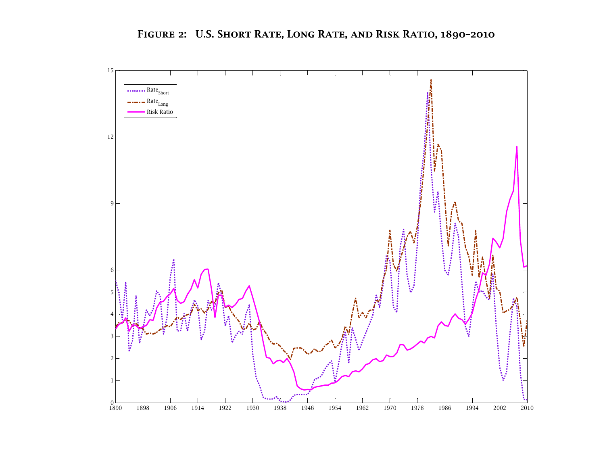

Figure 2: U.S. Short Rate, Long Rate, and Risk Ratio, 1890–2010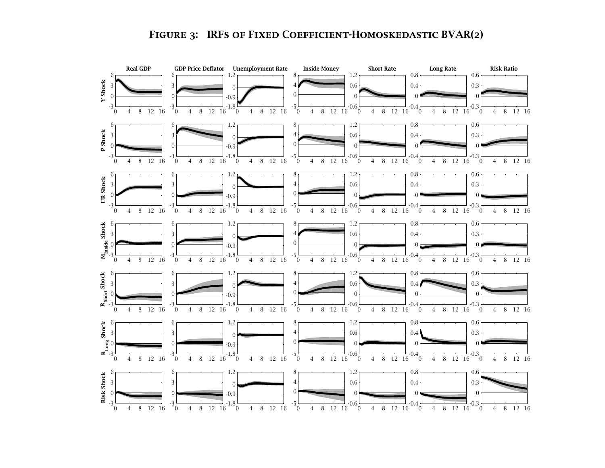# FIGURE 3: IRFS OF FIXED COEFFICIENT-HOMOSKEDASTIC BVAR(2)

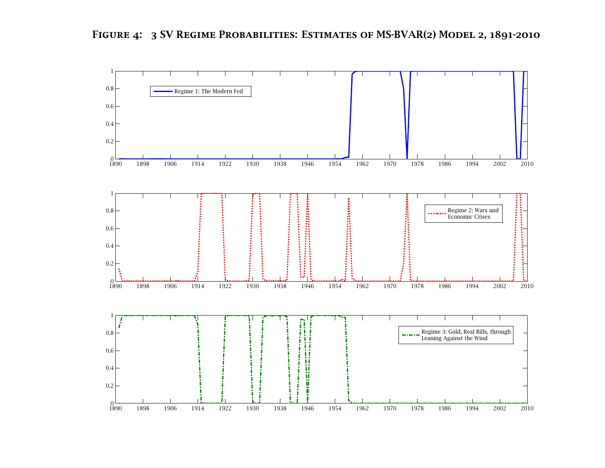

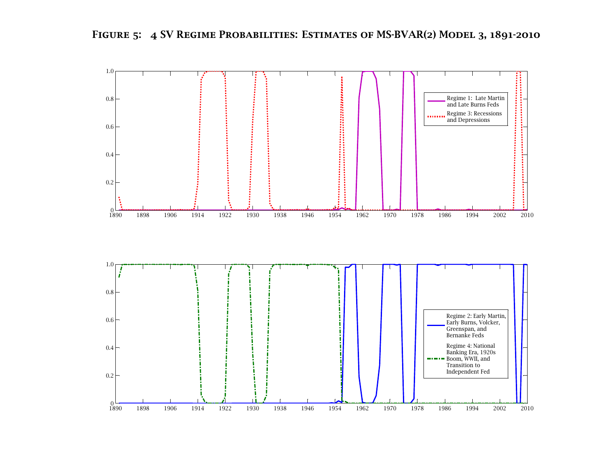



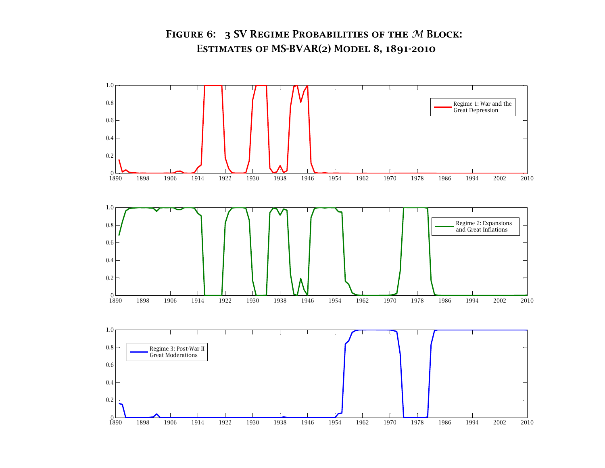# FIGURE 6:  $\,$  3 SV Regime Probabilities of the  $M$  Block:<br>Fetimates of MS-RVAR(2) Model 8, 1801-2010 Estimates of MS-BVAR(2) Model 8, 1891-2010

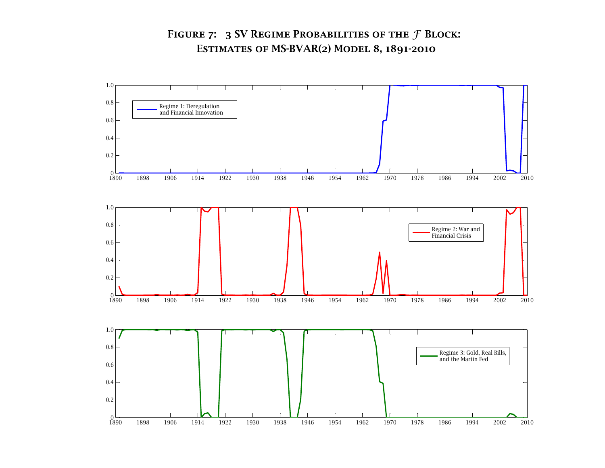# FIGURE 7:  $\,$  3 SV Regime Probabilities of the  $\mathcal F$  Block: Estimates of MS-BVAR(2) Model 8, 1891-2010

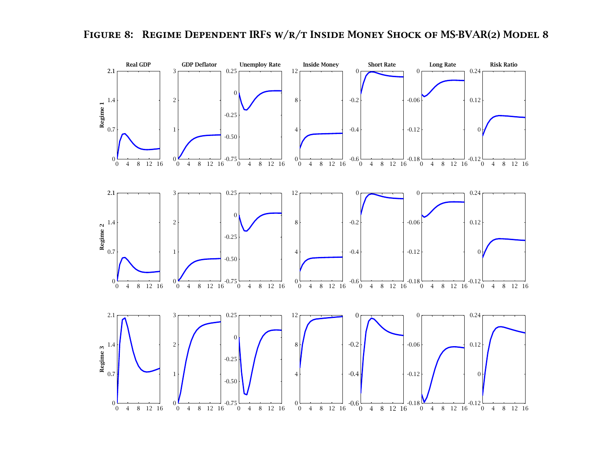